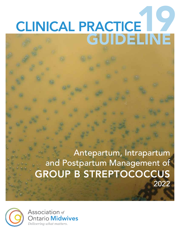# CLINICAL PRACTICE GUIDELINE

Antepartum, Intrapartum and Postpartum Management of GROUP B STREPTOCOCCUS 2022



Association of Ontario Midwives Delivering what matters.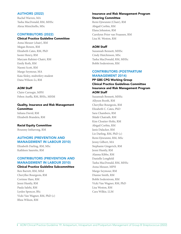## AUTHORS (2022)

Rachel Warren, MA Tasha MacDonald, RM, MHSc Alexa Minichiello, MSc

### CONTRIBUTORS (2022)

### Clinical Practice Guideline Committee

Anna Meuser (chair), RM Megan Bowen, RM Elizabeth Cates, RM, PhD Isomi Henry, RM Maryam Rahimi-Chatri, RM Emily Roth, RM Naomi Scott, RM Margo Seymour, MA Kaia Sloley, midwifery student Dana Wilson-Li, RM

### AOM Staff

Claire Carnegie, MPH Feben Aseffa, RM, BHSc, MHM

# Quality, Insurance and Risk Management **Committee**

Iuliana David, RM Elizabeth Brandeis, RM

### Racial Equity Committee

Bounmy Inthavong, RM

# AUTHORS (PREVENTION AND MANAGEMENT IN LABOUR 2010)

Elizabeth Darling, RM, MSc Kathleen Saurette, RM

# CONTRIBUTORS (PREVENTION AND MANAGEMENT IN LABOUR 2010)

### Clinical Practice Guideline Subcommittee

Ren Barrett, RM, MEd Cheryllee Bourgeois, RM Corinne Hare, RM Jenni Huntly, RM Paula Salehi, RM Lynlee Spencer, BSc Vicki Van Wagner, RM, PhD (c) Rhea Wilson, RM

### Insurance and Risk Management Program Steering Committee

Remi Ejiwunmi (Chair), RM Abigail Corbin, RM Elana Johnston, RM Carolynn Prior van Fraassen, RM Lisa M. Weston, RM

### AOM Staff

Suzannah Bennett, MHSc Cindy Hutchinson, MSc Tasha MacDonald, RM, MHSc Bobbi Soderstrom, RM

# CONTRIBUTORS (POSTPARTUM MANAGEMENT 2014)

# PP GBS CPG Working Group Clinical Practice Guidelines Committee Insurance and Risk Management Program AOM Staff

Suzannah Bennett, MHSc Allyson Booth, RM Cheryllee Bourgeois, RM Elizabeth C. Cates, PhD Sara Chambers, RM Shâdé Chatrath, RM Kim Cloutier-Holtz, RM Abigail Corbin, RM Janis Dalacker, RM Liz Darling, RM, PhD (c) Remi Ejiwunmi, RM, MSc Jenny Gilbert, MA Stephanie Gingerich, RM Jenni Huntly, RM Alanna Kibbe, RM Danielle Longfield Tasha MacDonald, RM, MHSc Anna Meuser, MPH Margo Seymour, RM Dianne Smith, RM Bobbi Soderstrom, RM Vicki Van Wagner, RM, PhD Lisa Weston, RM Cara Wilkie, LLM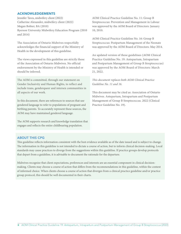### ACKNOWLEDGEMENTS

Jennifer Taves, midwifery client (2022) Catherine Alexander, midwifery client (2022) Megan Bobier, BA (2010) Ryerson University Midwifery Education Program (2010 and 2014)

The Association of Ontario Midwives respectfully acknowledges the financial support of the Ministry of Health in the development of this guideline.

The views expressed in this guideline are strictly those of the Association of Ontario Midwives. No official endorsement by the Ministry of Health is intended or should be inferred.

The AOM is committed, through our statement on Gender Inclusivity and Human Rights, to reflect and include trans, genderqueer and intersex communities in all aspects of our work.

In this document, there are references to sources that use gendered language to refer to populations of pregnant and birthing parents. To accurately represent these sources, the AOM may have maintained gendered language.

The AOM supports research and knowledge translation that engages and reflects the entire childbearing population.

AOM Clinical Practice Guideline No. 11: Group B Streptococcus: Prevention and Management in Labour was approved by the AOM Board of Directors: January 10, 2010.

AOM Clinical Practice Guideline No. 16: Group B Streptococcus: Postpartum Management of the Neonate was approved by the AOM Board of Directors: May 2014.

An updated version of these guidelines (AOM Clinical Practice Guideline No. 19: Antepartum, Intrapartum and Postpartum Management of Group B Streptococcus) was approved by the AOM Board of Directors: March 21, 2022.

*This document replaces both AOM Clinical Practice Guideline No. 11 and 16.*

This document may be cited as: Association of Ontario Midwives. Antepartum, Intrapartum and Postpartum Management of Group B Streptococcus. 2022 (Clinical Practice Guideline No. 19).

## ABOUT THIS CPG

This guideline reflects information consistent with the best evidence available as of the date issued and is subject to change. The information in this guideline is not intended to dictate a course of action, but to inform clinical decision-making. Local standards may cause practices to diverge from the suggestions within this guideline. If practice groups develop protocols that depart from a guideline, it is advisable to document the rationale for the departure.

Midwives recognize that client expectations, preferences and interests are an essential component in clinical decisionmaking. Clients may choose a course of action that differs from the recommendations in this guideline, within the context of informed choice. When clients choose a course of action that diverges from a clinical practice guideline and/or practice group protocol, this should be well documented in their charts.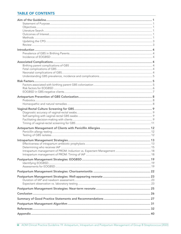# **TABLE OF CONTENTS**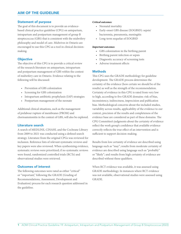# AIM OF THE GUIDELINE

### Statement of purpose

The goal of this document is to provide an evidencebased clinical practice guideline (CPG) on antepartum, intrapartum and postpartum management of group B streptococcus (GBS) that is consistent with the midwifery philosophy and model of care. Midwives in Ontario are encouraged to use this CPG as a tool in clinical decisionmaking.

## **Objective**

The objective of this CPG is to provide a critical review of the research literature on antepartum, intrapartum and postpartum management of GBS within the context of midwifery care in Ontario. Evidence relating to the following will be discussed:

- Prevention of GBS colonization
- Screening for GBS colonization
- Intrapartum antibiotic prophylaxis (IAP) strategies
- Postpartum management of the neonate

Additional clinical situations, such as the management of prelabour rupture of membranes (PROM) and chorioamnionitis in the context of GBS, will also be explored.

## Literature search

A search of MEDLINE, CINAHL and the Cochrane Library from 2009 to 2021 was conducted using a defined search strategy. Literature from the original CPGs was reviewed for inclusion. Reference lists of relevant systematic reviews and key papers were also reviewed. When synthesizing evidence, systematic reviews were prioritized; if no systematic reviews were found, randomized controlled trials (RCTs) and observational studies were retrieved.

## Outcomes of interest

The following outcomes were rated as either "critical" or "important," following the GRADE (Grading of Recommendations, Assessment, Development and Evaluation) process for each research question addressed in the guideline.

### *Critical outcomes:*

- Neonatal mortality
- Early-onset GBS disease (EOGBSD): sepsis/ bacteremia, pneumonia, meningitis
- Long-term sequelae of EOGBSD

### *Important outcomes:*

- GBS colonization in the birthing parent
- Birthing parent infection or sepsis
- Diagnostic accuracy of screening tests
- Adverse treatment effects

## Methods

This CPG uses the GRADE methodology for guideline development. The GRADE process determines the certainty of the evidence (how certain we should be of the results) as well as the strength of the recommendation. Certainty of evidence in this CPG is rated from very low to high, according to five GRADE domains: risk of bias, inconsistency, indirectness, imprecision and publication bias. Methodological concerns about the included studies, variability across results, applicability of the evidence to our context, precision of the results and completeness of the evidence base are considered as part of these domains. The CPG Committee's judgments about the certainty of evidence reflect the work group's confidence that available evidence correctly reflects the true effect of an intervention and is sufficient to support decision-making.

Results from low certainty of evidence are described using language such as "may"; results from moderate certainty of evidence are described using language such as "probably" or "likely"; and results from high certainty of evidence are described without these qualifiers.

When RCT evidence was available, it was assessed using GRADE methodology. In instances where RCT evidence was not available, observational studies were assessed using GRADE.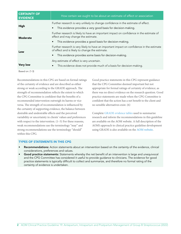| <b>CERTAINTY OF</b><br><b>EVIDENCE</b> | How certain we ought to be about an estimate of effect or association                                                                                                                                  |
|----------------------------------------|--------------------------------------------------------------------------------------------------------------------------------------------------------------------------------------------------------|
| High                                   | Further research is very unlikely to change confidence in the estimate of effect.<br>This evidence provides a very good basis for decision-making.                                                     |
| <b>Moderate</b>                        | Further research is likely to have an important impact on confidence in the estimate of<br>effect and may change the estimate.<br>This evidence provides a good basis for decision-making.             |
| Low                                    | Further research is very likely to have an important impact on confidence in the estimate<br>of effect and is likely to change the estimate.<br>This evidence provides some basis for decision-making. |
| <b>Very low</b>                        | Any estimate of effect is very uncertain.<br>This evidence does not provide much of a basis for decision-making.                                                                                       |

Based on: (1-3)

Recommendations in this CPG are based on formal ratings of the certainty of evidence and are described as either strong or weak according to the GRADE approach. The strength of recommendation reflects the extent to which the CPG Committee is confident that the benefits of a recommended intervention outweigh its harms or vice versa. The strength of recommendation is influenced by the certainty of supporting evidence, the balance between desirable and undesirable effects and the perceived variability or uncertainty in clients' values and preferences with respect to the intervention. (1–5) For these reasons, weak recommendations use the terminology "may" and strong recommendations use the terminology "should" within this CPG.

Good practice statements in this CPG represent guidance that the CPG Committee deemed important but not appropriate for formal ratings of certainty of evidence, as there was no direct evidence on the research question. Good practice statements are made when the CPG Committee is confident that the action has a net benefit to the client and no sensible alternatives exist. (6)

Complete GRADE evidence tables used to summarize research and inform the recommendations in this guideline are available on the AOM website. A full description of the AOM's approach to clinical practice guideline development using GRADE is also available on the [AOM website](https://www.ontariomidwives.ca/grade-methodology).

### TYPES OF STATEMENTS IN THIS CPG

- Recommendations: Action statements about an intervention based on the certainty of the evidence, clinical considerations, preferences and values.
- Good practice statements: Statements whereby the net benefit of an intervention is large and unequivocal and the CPG Committee has considered it useful to provide guidance to clinicians. The evidence for good practice statements is typically difficult to collect and summarize, and therefore no formal rating of the certainty of evidence is undertaken.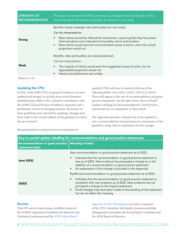| <b>STRENGTH OF</b><br><b>RECOMMENDATION</b> | The extent to which the CPG Committee is confident that the benefits of the<br>recommended intervention outweigh its harms (or vice versa)                                                                                                                                                                                                                                 |
|---------------------------------------------|----------------------------------------------------------------------------------------------------------------------------------------------------------------------------------------------------------------------------------------------------------------------------------------------------------------------------------------------------------------------------|
| <b>Strong</b>                               | Benefits clearly outweigh risks and burdens (or vice versa).<br>Can be interpreted as:<br>Most clients should be offered the intervention, assuming that they have been<br>$\bullet$<br>informed about and understand its benefits, harms and burdens.<br>Most clients would want the recommended course of action, and only a small<br>$\bullet$<br>proportion would not. |
| Weak                                        | Benefits, risks and burdens are closely balanced.<br>Can be interpreted as:<br>The majority of clients would want the suggested course of action, but an<br>appreciable proportion would not.<br>Values and preferences vary widely.<br>$\bullet$                                                                                                                          |
| Based on: (1-4)                             |                                                                                                                                                                                                                                                                                                                                                                            |

# Updating the CPG

In 2022, both AOM CPGs on group B streptococcus were updated and merged, to include more recent literature published from 2009 to 2021. Based on consultation with the AOM's Clinical Practice Guideline Committee and a preliminary review of emerging research, all sections of these guidelines were selected for updating. Changes have been made to the current edition of this guideline to reflect the new research.

updated CPGs will now be marked with one of the following labels: [new 2022], [2022], [2014] or [2010]. These will appear at the end of recommendations and good practice statements. See the table below (Key to Partial Update Labelling for Recommendations, Good Practice Statements) for an explanation of these labels.

The Appendix provides a detailed list of the updated or new recommendations and good practice statements in this guideline, along with an explanation for the changes.

Recommendations and good practice statements in

| Key to partial update labelling for recommendations and good practice statements |                                                                                                                                                                                                                                                                                                                                                                          |  |  |
|----------------------------------------------------------------------------------|--------------------------------------------------------------------------------------------------------------------------------------------------------------------------------------------------------------------------------------------------------------------------------------------------------------------------------------------------------------------------|--|--|
| Recommendation or good practice   Meaning of label<br>statement label            |                                                                                                                                                                                                                                                                                                                                                                          |  |  |
| [new 2022]                                                                       | New recommendation or good practice statement as of 2022:<br>Indicates that the recommendation or good practice statement is<br>$\bullet$<br>new as of 2022. New evidence has prompted a change to or the<br>addition of a recommendation or good practice statement.<br>An explanation of this change is provided in the Appendix.<br>$\bullet$                         |  |  |
| [2022]                                                                           | Reaffirmed recommendation or good practice statement as of 2022:<br>Indicates that the recommendation or good practice statement is<br>consistent with new evidence as of 2022. New evidence has not<br>prompted a change to the original statement.<br>Small changes may have been made to the wording of this statement<br>$\bullet$<br>but do not affect the meaning. |  |  |

### Review

This CPG was reviewed using a modified version of the AGREE (Appraisal of Guidelines for Research and Evaluation) instrument and the [AOM Values-Based](https://www.ontariomidwives.ca/values-based-approach-cpg-development) 

[Approach to CPG Development](https://www.ontariomidwives.ca/values-based-approach-cpg-development), as well as consensus of the CPG Committee; the Quality, Insurance and Risk Management Committee; the Racial Equity Committee and the AOM Board of Directors.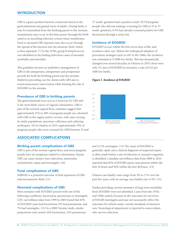# **INTRODUCTION**

GBS is a gram-positive bacteria commonly found in the gastrointestinal and genital tracts of adults. During birth, it may be transmitted from the birthing parent to the neonate; transmission may occur as the fetus passes through the birth canal or as ascending infection crosses intact membranes. Fetal or neonatal GBS exposure may also occur through the spread of the bacteria into the amniotic fluid, which is then aspirated. (7) In the 1970s, group B streptococcus was identified as the leading infectious cause of neonatal morbidity and mortality.

This guideline focuses on midwifery management of GBS in the antepartum, intrapartum and postpartum periods for both the birthing parent and the neonate. Midwives providing care for clients with GBS aim to avoid unnecessary intervention while limiting the risk of EOGBSD in the neonate.

### Prevalence of GBS in birthing parents

The gastrointestinal tract acts as a reservoir for GBS and is the most likely source of vaginal colonization. GBS is part of the normal vaginal flora; estimates suggest that approximately 15% to 40% of pregnant people are colonized with GBS in the vagina and/or rectum, with rates varying by study populations, specimen collection and culturing techniques. (8) In Ontario in 2019, approximately 19% of pregnant people who were screened for GBS between 35 and

# ASSOCIATED COMPLICATIONS

### Birthing parent complications of GBS

GBS is part of the normal vaginal flora, and most pregnant people have no symptoms related to colonization. Rarely, GBS can cause urinary tract infections, amnionitis, endometritis, sepsis and meningitis. (10)

### Fetal complications of GBS

Stillbirth is a potential outcome of fetal aspiration of GBSinfected amniotic fluid. (11)

### Neonatal complications of GBS

Most neonates with EOGBSD present with one of the following conditions: bacteremia, pneumonia or meningitis. CDC surveillance data from 1999 to 2005 found that 83% of EOGBSD cases had bacteremia, 9% had pneumonia, and 7% had meningitis. (12) In a 2008 Toronto study, similar proportions were noted: 64% bacteremia, 23% pneumonia

37 weeks' gestation had a positive result. (9) Of pregnant people who did not undergo screening for GBS at 35 to 37 weeks' gestation, 0.5% had already screened positive for GBS bacteriuria through a urine test.

### Incidence of EOGBSD

EOGBSD occurs within the first seven days of life, and incidence rates vary. Before the widespread adoption of prevention strategies such as IAP in the 1980s, the incidence was estimated at 3/1000 live births. This has dramatically changed over several decades; in Ontario in 2019, there were only 35 cases of EOGBSD in neonates, a rate of 0.23 per 1000 live births.

### *Figure 1. Incidence of EOGBSD*



and 12.5% meningitis. (13) The onset of EOGBSD is generally rapid, and a clinical diagnosis of suspected sepsis is often made before a site of infection or causative organism is identified. Canadian surveillance data from 2009 to 2014 reported that 85% of EOGBS sepsis cases present within the first 24 hours and 94% within the first 48 hours. (14)

Ontario case fatality rates range from 2% to 17% over the past five years, with an average case fatality rate of 5%. (15)

Studies providing current estimates of long-term morbidity from EOGBSD were not identified. Cases from the 1970s and 1980s mainly focused on the outcomes for survivors of EOGBS meningitis and may not necessarily reflect the outcomes for infants under current standards of intensive care. Neurological impairment is reported in some infants who survive infection.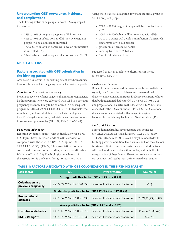# Understanding GBS prevalence, incidence and complications

The following statistics help explain how GBS may impact the neonate:

- 15% to 40% of pregnant people are GBS positive;
- 40% to 70% of babies born to GBS-positive pregnant people will be colonized if untreated;
- 1% to 2% of colonized babies will develop an infection if untreated (16);
- 5% of babies who develop an infection will die. (8,17)

# RISK FACTORS

# Factors associated with GBS colonization in the birthing parent

Associated risk factors in the birthing parent have been studied; however, the research investigating these factors varies in quality.

### *Colonization in a previous pregnancy*

Systematic review evidence suggests that in term pregnancies, birthing parents who were colonized with GBS in a previous pregnancy are more likely to be colonized in a subsequent pregnancy (OR 5.80, 95% CI 4.18-8.05). (18) Individuals who were heavily colonized (defined as bacteriuria of greater than 80 colony-forming units) had higher chances of recurrence in subsequent pregnancies (OR 1.59, 95% CI 1.05-2.42).

### *Body mass index (BMI)*

Research evidence suggests that individuals with a BMI > 25 kg/m2 have increased odds of GBS colonization compared with those with a BMI <  $25 \text{ kg/m}^2$  (OR 1.21, 95% CI 1.11-1.35). (19–24) This association has been confirmed in several other studies, which used differing BMI cut-offs. (25–28) The biological mechanism for the association is unclear, although researchers have

Using these statistics as a guide, if we take an initial group of 50 000 pregnant people:

- 7500 to 20000 pregnant people will be colonized with GBS;
- 3000 to 14000 babies will be colonized with GBS;
- 30 to 280 babies will develop an infection if untreated:
- bacteremia (19 to 232 babies)
- pneumonia (three to 64 babies)
- meningitis (two to 35 babies)
- Two to 14 babies will die.

suggested that it may relate to alterations in the gut microbiota. (23, 24)

### *Gestational diabetes*

Researchers have examined the association between diabetes (type 1, type 2, gestational diabetes and pregestational diabetes) and colonization status. Evidence consistently shows that both gestational diabetes (OR 1.17, 95% CI 1.03-1.31) and pregestational diabetes (OR 1.34, 95% CI 1.09-1.63) are associated with GBS colonization. (19–24,29–32) Gestational diabetes may be associated with changes in vaginal lactobacillus, which may facilitate GBS colonization. (19)

### *Unclear risk factors*

Some additional studies have suggested that young age (19–21,25,26,29,30,32–45), education, (19,25,31,34–36,39– 41,43,46–48) and race (21–23,26,27) may be associated with birthing parent colonization. However, research on these factors is extremely limited due to inconsistency across studies, issues with confounding variables within studies, and variability in categorization of these factors. Therefore, no clear conclusions can be drawn and results must be interpreted with caution.

### TABLE 1: FACTORS ASSOCIATED WITH GBS COLONIZATION IN THE BIRTHING PARENT

| <b>Risk factor</b>                                     | <b>OR</b> | <b>Interpretation</b>                                            | Source(s)               |  |  |
|--------------------------------------------------------|-----------|------------------------------------------------------------------|-------------------------|--|--|
|                                                        |           | Strong predictive factor (OR > 1.75 or < 0.25)                   |                         |  |  |
| Colonization in a<br>previous pregnancy                |           | (OR 5.80, 95% CI 4.18-8.05) Increases likelihood of colonization | (18)                    |  |  |
| Moderate predictive factor (OR 1.25-1.75 or 0.26-0.75) |           |                                                                  |                         |  |  |
| Pregestational<br>diabetes                             |           | (OR 1.34, 95% CI 1.09-1.63) Increases likelihood of colonization | (20,21,23,24,32,40)     |  |  |
| Weak predictive factor (OR $<$ 1.25 and $>$ 0.76)      |           |                                                                  |                         |  |  |
| <b>Gestational diabetes</b>                            |           | (OR 1.17, 95% CI 1.03-1.31) Increases likelihood of colonization | $(19 - 24, 29, 30, 49)$ |  |  |
| BMI > 25 kg/m <sup>2</sup>                             |           | (OR 1.21, 95% CI 1.11-1.33) Increases likelihood of colonization | $(25 - 28)$             |  |  |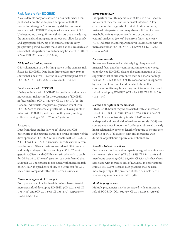### Risk factors for EOGBSD

A considerable body of research on risk factors has been published since the widespread adoption of EOGBSD prevention strategies. The following risk factors remain associated with EOGBSD despite widespread use of IAP. Understanding the significant risk factors that arise during the antenatal and intrapartum periods can allow for timely and appropriate follow-up of the neonate in the early postpartum period. Despite these associations, research also shows that intrapartum risk factors may be absent in 30% to 50% of EOGBSD cases. (13,50–52)

### *GBS-positive birthing parent*

GBS colonization in the birthing parent is the primary risk factor for EOGBSD. Data from three studies  $(n = 10344)$ shows that a positive GBS swab is a significant predictor of EOGBSD (OR 10.44, 95% CI 3.69-29.56). (53–55)

### *Previous infant with EOGBSD*

Having an infant with EOGBSD is considered a significant independent risk factor for the occurrence of EOGBSD in future infants (OR 27.81, 95% CI 9.08-85.17). (19) In Canada, individuals who previously had an infant with EOGBSD are considered at greater risk of having another infant with EOGBSD, and therefore they rarely undergo culture screening at 35 to 37 weeks' gestation.

### *Bacteriuria*

Data from three studies ( $n = 7643$ ) shows that GBS bacteriuria in the birthing parent is a strong predictor of the development of EOGBSD in the neonate (OR 5.34, 95% CI 2.49-11.46). (19,53,56) In Ontario, individuals who screen positive for GBS bacteriuria are considered GBS carriers, and rarely undergo culture screening at 35 to 37 weeks' gestation. Clients with GBS bacteriuria who wish to swab for GBS at 35 to 37 weeks' gestation can be informed that although GBS bacteriuria is associated with increased risk of EOGBSD, the predictive ability of a urine test for GBS bacteriuria compared with culture screen is unclear.

### *Gestational age and birth weight*

Both preterm and low birthweight infants have a twofold increased risk of developing EOGBSD (OR 2.02, 95% CI 1.36-3.01) and (OR 2.01, 95% CI 1.39-2.92), respectively. (19,53–55,57–59)

### *Intrapartum fever*

Intrapartum fever (temperature  $\geq 38.0^{\circ}$ C) is a non-specific indicator of maternal and/or neonatal infection. A key criterion for the diagnosis of clinical chorioamnionitis, maternal intrapartum fever may also result from increased metabolic activity or poor ventilation, or because of epidural analgesia.  $(60-63)$  Data from four studies (n = 7778) indicates that intrapartum fever is associated with an increased risk of EOGBSD (OR 3.62, 95% CI 1.71-7.66). (19,56,57,64)

### *Chorioamnionitis*

Researchers have noted a relatively high frequency of maternal fever and chorioamnionitis in neonates who go on to develop EOGBSD despite the administration of IAP, suggesting that chorioamnionitis may be a marker of high risk for EOGBSD. (58,65–67) This observation is supported by data from four recent studies, which shows that chorioamnionitis may be a strong predictor of an increased risk of developing EOGBSD (OR 4.19, 95% CI 0.71-24.59).  $(19, 57-59)$ 

### *Duration of rupture of membranes*

PROM ( $\geq$  18 hours) may be associated with an increased risk of EOGBSD (OR 2.02, 95% CI 0.87-4.73). (19,54–57) In a 2011 case-control study in which IAP use was widespread and overall risk of early-onset sepsis (EOS) was consequently low, Puopolo and colleagues observed a nearly linear relationship between length of rupture of membranes and risk of EOS (all causes), with risk increasing with duration of prelabour rupture of membranes. (68)

### Specific obstetric practices

Practices such as frequent intrapartum vaginal examinations (> three or ≥ six exams) (OR 6.32, 95% CI 2.44-16.40) and membrane sweeping (OR 2.52, 95% CI 1.13-4.78) have been associated with increased risk of EOGBSD in observational studies. (55,57,69) Because such practices may be used more frequently in the presence of other risk factors, this relationship may be confounded. (70)

### *Multiple pregnancies*

Multiple pregnancies may be associated with an increased risk of EOGBSD (OR 1.98, 95% CI 0.78-5.02). (19,59,64)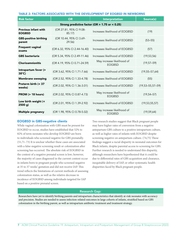| <b>Risk factor</b>                           | <b>OR</b>                                      | <b>Interpretation</b>                       | Source(s)                |  |  |  |
|----------------------------------------------|------------------------------------------------|---------------------------------------------|--------------------------|--|--|--|
|                                              | Strong predictive factor (OR > 1.75 or < 0.25) |                                             |                          |  |  |  |
| <b>Previous infant with</b><br><b>EOGBSD</b> | (OR 27.81, 95% CI 9.08-<br>85.17)              | Increases likelihood of EOGBSD              | (19)                     |  |  |  |
| <b>GBS-positive birthing</b><br>parent       | (OR 10.44, 95% CI 3.69-<br>29.56               | Increases likelihood of EOGBSD              | $(53 - 55)$              |  |  |  |
| <b>Frequent vaginal</b><br>exams             | (OR 6.32, 95% CI 2.44-16.40)                   | Increases likelihood of EOGBSD              | (57)                     |  |  |  |
| <b>GBS</b> bacteriuria                       | (OR 5.34, 95% CI 2.49-11.46)                   | Increases likelihood of EOGBSD              | (19, 53, 56)             |  |  |  |
| <b>Chorioamnionitis</b>                      | (OR 4.19, 95% CI 0.71-24.59)                   | May increase likelihood of<br><b>EOGBSD</b> | $(19, 57 - 59)$          |  |  |  |
| Intrapartum fever (><br>$38^{\circ}$ C)      | (OR 3.62, 95% CI 1.71-7.66)                    | Increases likelihood of EOGBSD              | $(19, 55 - 57, 64)$      |  |  |  |
| <b>Membrane sweeping</b>                     | (OR 2.52, 95% CI 1.33-4.78)                    | Increases likelihood of EOGBSD              | (55)                     |  |  |  |
| Preterm birth (< 37<br>weeks)                | (OR 2.02, 95% CI 1.36-3.01)                    | Increases likelihood of EOGBSD              | $(19, 53 - 55, 57 - 59)$ |  |  |  |
| PROM (> 18 hours)                            | (OR 2.02, 95% CI 0.87-4.73)                    | May increase likelihood of<br><b>EOGBSD</b> | $(19, 54 - 57)$          |  |  |  |
| Low birth weight (<<br>2500 g)               | (OR 2.01, 95% CI 1.39-2.92)                    | Increases likelihood of EOGBSD              | (19, 53, 55, 57)         |  |  |  |
| <b>Multiple pregnancy</b>                    | (OR 1.98, 95% CI 0.78-5.02)                    | May increase likelihood of<br><b>EOGBSD</b> | (19, 59, 64)             |  |  |  |

### EOGBSD in GBS-negative clients

While vaginal colonization with GBS must be present for EOGBSD to occur, studies have established that 52% to 82% of term neonates who develop EOGBSD are born to individuals who screened negative for GBS prenatally. (51,71–73) It is unclear whether these cases are associated with a false-negative screening result or colonization after screening has occurred. The absolute risk of EOGBSD in the context of a negative prenatal screen is low; however, the majority of cases diagnosed in the current context occur in infants born to pregnant people who screened negative at 35 to 37 weeks' gestation and did not receive IAP. This trend reflects the limitations of current methods of assessing colonization status, as well as the relative decrease in incidence of EOGBSD among individuals targeted for IAP based on a positive prenatal screen.

Two research studies suggest that Black pregnant people may have higher rates of conversion from a negative antepartum GBS culture to a positive intrapartum culture, as well as higher rates of infants with EOGBSD despite screening negative on antepartum culture. (74,75) These findings suggest a racial disparity in neonatal outcomes for Black infants, despite parental access to screening for GBS. Further research is needed to understand this disparity, although researchers have hypothesized that it could be due to differential rates of GBS acquisition and clearance, inequitable delivery of IAP, or other systematic health disparities faced by Black pregnant people.

### Research Gap:

Researchers have yet to identify birthing parents and intrapartum characteristics that identify at-risk neonates with accuracy and precision. Studies are needed to assess infection-related outcomes in large cohorts of infants, stratified based on GBS colonization in the birthing parent, as well as intrapartum antibiotic treatment and treatment strategy.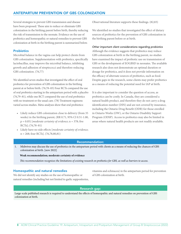# ANTEPARTUM PREVENTION OF GBS COLONIZATION

Several strategies to prevent GBS transmission and disease have been proposed. These aim to reduce or eliminate GBS colonization in the birthing parent before birth, thereby reducing the risk of transmission to the neonate. Evidence on the use of probiotics and homeopathic or natural remedies to prevent GBS colonization at birth in the birthing parent is summarized below.

### **Probiotics**

Microbial balance in the vagina can help protect clients from GBS colonization. Supplementation with probiotics, specifically lactobacillus, may improve the microbial balance, inhibiting growth and adhesion of streptococci and therefore reducing GBS colonization. (76,77)

We identified seven studies that investigated the effect of oral probiotics for prevention of GBS colonization in the birthing parent at or before birth. (76,78–83) Four RCTs compared the use of oral probiotics starting in the antepartum period with a placebo (76,79–81), while one RCT compared the use of oral probiotics with no treatment or the usual care. (78) Treatment regimens varied across studies. Meta-analyses show that oral probiotics:

- Likely reduce GBS colonization close to delivery (from 35 weeks) in the birthing parent, (RR 0.71, 95% CI 0.51-1.00, p = 0.05) [*moderate certainty of evidence*; n = 378; five RCTs]; (76,78–81)
- Likely have no side effects [*moderate certainty of evidence*; n = 268; four RCTs]. (76,78,80,81)

Observational literature supports these findings. (82,83)

We identified no studies that investigated the effect of dietary sources of probiotics for the prevention of GBS colonization in the birthing parent before or at birth.

### *Other important client considerations regarding probiotics*

Although the evidence suggests that probiotics may reduce GBS colonization at birth in the birthing parent, no studies have examined the impact of probiotic use on transmission of GBS or the development of EOGBSD in neonates. The available research also does not demonstrate an optimal duration or dosage for probiotics, and it does not provide information on the efficacy of alternate sources of probiotics, such as food. Despite gaps in the research, some clients may prefer probiotics as a means of reducing the potential need for IAP at birth.

It is also important to consider the question of access, as probiotics can be costly. In Canada, they are considered a natural health product, and therefore they do not carry a drug identification number (DIN) and are not covered by insurance, including the Ontario Drug Benefit (ODB) for those enrolled in Ontario Works (OW), or the Ontario Disability Support Program (ODSP). Access to probiotics may also be limited in areas where natural health products are not readily available.

### Recommendation:

1. Midwives may discuss the use of probiotics in the antepartum period with clients as a means of reducing the chances of GBS colonization at birth. [new 2022]

### **Weak recommendation; moderate certainty of evidence**

*This recommendation recognizes the limitations of existing research on probiotics for GBS, as well as barriers to access.* 

### Homeopathic and natural remedies

We did not identify any studies on the use of homeopathic or natural remedies (including but not limited to garlic suppositories, vitamins and echinacea) in the antepartum period for prevention of GBS colonization at birth.

### Research gap:

Large-scale published research is required to understand the effects of homeopathic and natural remedies on prevention of GBS colonization at birth.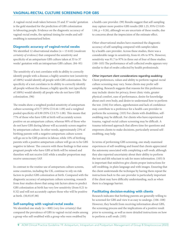A vaginal-rectal swab taken between 35 and 37 weeks' gestation is the gold standard for the prediction of GBS colonization in labouring people. Evidence on the diagnostic accuracy of vaginal-rectal swabs, the optimal timing for swabs and selfswabbing is summarized below.

# Diagnostic accuracy of vaginal-rectal swabs

We identified 12 observational studies (n = 15 610) (*moderate certainty of evidence*) that compared the sensitivity and specificity of an antepartum GBS culture taken at 35 to 37 weeks' gestation with an intrapartum GBS culture. (84–95)

The sensitivity of a test correlates with its ability to correctly identify people with a disease; a highly sensitive test (sensitivity of 100%) would identify all people with GBS colonization. The specificity of a test correlates to its ability to correctly identify all people without the disease; a highly specific test (specificity of 100%) would identify all people who do not have GBS colonization. (96)

The results show a weighted pooled sensitivity of antepartum culture screening of 0.77 (95% CI 0.44-1.09) and a weighted pooled specificity of 0.90 (95% CI 0.73-1.08). This means that 77% of those who have GBS at birth will accurately screen positive on an antepartum culture, whereas 90% of those who do not have GBS during labour will accurately screen negative by antepartum culture. In other words, approximately 23% of birthing parents with a negative antepartum culture screen will go on to be GBS positive in labour, while 10% of birthing parents with a positive antepartum culture will go on to be GBS negative in labour. The concern with these findings is that some pregnant people who have GBS at birth will be missed and therefore will not receive IAP, while a smaller proportion may receive unnecessary IAP.

In contrast to the routine use of antepartum culture screens, some countries, including the UK, continue to rely on risk factors to predict GBS colonization at birth. Compared with the diagnostic accuracy of antepartum culture screening, research from four studies shows that using risk factors alone to predict GBS colonization at birth has very low sensitivity (from 0.21 to 0.32) and will not accurately capture those who will be positive at birth. (50,93,97,98)

## Self-sampling with vaginal-rectal swabs

We identified one study (n = 800) (*very low certainty*) that compared the prevalence of GBS in vaginal-rectal swabs among a group who self-swabbed with a group who were swabbed by

a health-care provider. (99) Results suggest that self-sampling may capture more positive GBS results (RR 1.25, 95% CI 0.85- 1.84, p = 0.26), although we are uncertain of these results, due to concerns about the imprecision of the estimate effect.

Other observational studies have examined the diagnostic accuracy of self-sampling compared with samples taken by a health-care provider. Across these studies, there was a considerable range in sensitivity, from 61.4% to 97%. However, sensitivity was 91.7 to 97% in three out of four of these studies. (100–103) The performance of self-collected swabs appears very similar to that of swabs collected by health professionals.

### *Other important client considerations regarding swabbing*

Client preferences, values and ability to perform vaginal-rectal culture screening may vary. Some clients may prefer selfsampling. Research suggests that reasons for this preference may include: desire for privacy, fewer clinic visits, greater physical comfort, ease of performance, desire for knowledge about one's own body, and desire to understand how to perform the test. (104) For others, apprehension and lack of confidence may contribute to a preference for a health-care provider to perform the screening. (103) For clients with disabilities, selfswabbing may be difficult. For clients who have experienced trauma, vaginal-rectal culture screening may be difficult. A trauma-informed approach that allows time for questions and empowers clients to make decisions, particularly around selfswabbing, may help.

In terms of performing GBS screening, one study examined experiences of self-swabbing and found that clients appreciated the autonomy associated with completing a self-swab, although they also reported uncertainty about their ability to perform the test and felt reluctant to ask for more information. (105) It is important that midwives give clients proper instructions for self-swabbing, in plain language and with images. Ensuring that the client understands the technique by having them repeat the instructions back to the care provider is particularly important if the client may have difficulty understanding, such as when there is a language barrier.

## Facilitating decision-making with clients

Research indicates that birthing parents are generally willing to be screened for GBS and view it as easy to undergo. (106–108) However, they benefit from receiving information about GBS, the screening process and the implications of a positive result prior to screening, as well as more detailed instructions on how to perform a self-swab. (105)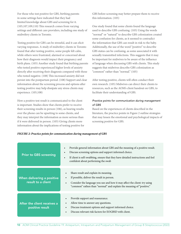For those who test positive for GBS, birthing parents in some settings have indicated that they had limited knowledge about GBS and screening for it. (105,107,109,110) This research comes from varying settings and different care providers, including one study of midwifery clients in Toronto.

Testing positive for GBS can be stressful, and it can elicit varying responses. A study of midwifery clients in Toronto found that after testing positive, some people felt calm, while others were frustrated, alarmed or concerned about how their diagnosis would impact their pregnancy and birth plans. (105) Another study found that birthing parents who tested positive experienced higher levels of anxiety directly after receiving their diagnosis compared with those who tested negative. (108) This increased anxiety did not persist into the postpartum period. (108) Support and clear information about the screening process and options after testing positive may help dissipate any stress clients may experience. (105,108)

How a positive test result is communicated to the client is important. Studies show that clients prefer to receive their screening results in person (106), as hearing results over the phone can be upsetting to some clients, and they may interpret the information as more serious than if it were delivered in person. (105) Giving clients more information about the implications of testing positive for GBS before screening may better prepare them to receive this information. (105)

One study found that some clients found the language used to describe GBS confusing. (105) Using the words "normal" or "natural" to describe GBS colonization created some confusion for clients, as it seemed to contradict the information that GBS can result in risk to the baby. Additionally, the use of the word "positive" to describe GBS status can be confusing, as some associated it with sexually transmitted infections. This suggests that it may be important for midwives to be aware of the influence of language when discussing GBS with clients. This study suggests that midwives describe GBS colonization as "common" rather than "normal." (105)

After testing positive, clients will often conduct their own research. (105) Midwives can direct their clients to resources, such as the AOM's client handout on GBS, to facilitate their understanding of GBS.

### *Practice points for communication during management of GBS*

Based on the experiences of clients described in the literature, the practice points in Figure 2 outline strategies that may lessen the emotional and psychological impacts of screening positive for GBS.

|  |  |  |  | FIGURE 2: Practice points for communication during management of GBS |
|--|--|--|--|----------------------------------------------------------------------|
|--|--|--|--|----------------------------------------------------------------------|

| <b>Prior to GBS screening</b>                    | Provide general information about GBS and the meaning of a positive result.<br>$\bullet$<br>Discuss screening options and support informed choice.<br>$\bullet$<br>If client is self-swabbing, ensure that they have detailed instructions and feel<br>$\bullet$<br>confident about performing the swab |
|--------------------------------------------------|---------------------------------------------------------------------------------------------------------------------------------------------------------------------------------------------------------------------------------------------------------------------------------------------------------|
| When delivering a positive<br>result to a client | Share result and explain its meaning.<br>If possible, deliver the result in person.<br>$\bullet$<br>Consider the language you use and how it may affect the client: try using<br>"common" rathen than "normal" and explain the meaning of "positive."                                                   |
| After the client receives a<br>positive result   | Provide support and reassurance.<br>$\bullet$<br>Allow time to answer any questions.<br>٠<br>Discuss treatment options and support informed choice.<br>٠<br>Discuss relevant risk factors for EOGBSD with client.                                                                                       |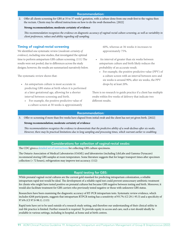### Recommendation:

2. Offer all clients screening for GBS at 35 to 37 weeks' gestation, with a culture done from one swab first to the vagina then the rectum. Clients may be offered instructions on how to do the swab themselves. [2022]

### **Strong recommendation; moderate certainty of evidence**

*This recommendation recognizes the evidence on diagnostic accuracy of vaginal-rectal culture screening, as well as variability in client preferences, values and ability regarding self-sampling.* 

### Timing of vaginal-rectal screening

We identified one systematic review (*moderate certainty of evidence*), including nine studies, that investigated the optimal time to perform antepartum GBS culture screening. (111) The results were not pooled, due to differences across the study designs; however, the results are summarized narratively below.

The systematic review shows that:

- An antepartum culture is most accurate in predicting GBS status at birth when it is performed at a later gestational age, allowing for a shorter interval between screening and birth.
	- For example, the positive predictive value of a culture screen at 30 weeks is approximately

60%, whereas at 36 weeks it increases to approximately 75%.

- An interval of greater than six weeks between antepartum culture and birth likely reduces the probability of an accurate result.
	- For example, the positive predictive value (PPV) of a culture screen with an interval between zero and six weeks is around 90%; after six weeks, the PPV drops by at least 20%.

There is no research to guide practice if a client has multiple swabs within five weeks of delivery that indicate two different results.

### Recommendation:

3. Offer re-screening if more than five weeks have elapsed from initial swab and the client has not yet given birth. [2022]

### **Strong recommendation; moderate certainty of evidence**

*This recommendation recognizes the evidence to demonstrate that the predictive ability of a swab declines after six weeks. However, there may be practical limitations due to long sampling and processing times, which warrant earlier re-swabbing.*

### Considerations for collection of vaginal-rectal swabs:

The CDC gives a [detailed set of instructions](https://www.cdc.gov/groupbstrep/downloads/gbs_swab_sheet21.pdf) for collecting GBS culture specimens.

The Ontario Association of Medical Laboratories (OAML) and laboratories (including LifeLabs and Gamma-Dynacare) recommend storing GBS samples at room temperature. Some literature suggests that for longer transport times after specimen collection (> 72 hours), refrigeration may improve test accuracy. (112)

## Rapid testing for GBS:

While prenatal vaginal-rectal cultures are the current gold standard for predicting intrapartum colonization, a reliable intrapartum rapid test would be ideal. The development of a reliable rapid test could prevent unnecessary antibiotic treatment for clients who might have tested positive on prenatal cultures but became GBS negative between testing and birth. Moreover, it would also facilitate treatment for GBS carriers who previously tested negative or those with unknown GBS status.

Researchers have been examining the diagnostic accuracy of RT-PCR intrapartum tests. Systematic review evidence, which includes 6268 participants, suggests that intrapartum RTPCR testing has a sensitivity of 93.7% (CI 29.1-95.3) and a specificity of 97.6% (CI 97.0-98.1). (113)

Rapid tests have yet to be used outside of a research study setting, and therefore our understanding of their clinical utility in real-life practice is limited. Further research is required. To provide equity in access and care, such a test should ideally be available in various settings, including in hospital, at home and at birth centres.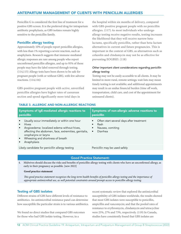# ANTEPARTUM MANAGEMENT OF CLIENTS WITH PENICILLIN ALLERGIES

Penicillin G is considered the first line of treatment for a positive GBS screen. It is the preferred drug for intrapartum antibiotic prophylaxis, as GBS isolates remain highly sensitive to the penicillin family.

## Penicillin allergy testing

Approximately 10% of people report penicillin allergies, with less than 1% reporting a severe reaction, such as anaphylaxis. Research suggests that immune-mediated allergic responses are rare among people who report unconfirmed penicillin allergies, and up to 95% of those people may have the label removed through testing. (114,115) Allergy tests have been shown to be safe for pregnant people (with or without GBS), with few adverse reactions. (114,116)

GBS-positive pregnant people with active, unverified penicillin allergies have higher rates of caesarean section and spend significantly more total days in

the hospital within six months of delivery, compared with GBS-positive pregnant people with no penicillin allergies. (117) As most individuals who undergo allergy testing receive negative results, testing increases the likelihood that they will receive narrow betalactams, specifically penicillin, rather than beta-lactam alternatives in current and future pregnancies. This is important in the context of GBS, as alternatives such as cefazolin and clindamycin may not be as effective for preventing EOGBSD. (118)

# *Other important client considerations regarding penicillin allergy testing*

Testing may not be easily accessible to all clients. It may be limited in more rural, remote settings; wait lists may mean timely testing is not available; and additional appointments may result in an undue financial burden (time off work, transportation, child care, and cost of the appointment for uninsured clients).

| Symptoms of IgE-mediated allergic reactions to<br>penicillin                                                                                                                                                                                  | Symptoms of non-allergic adverse reactions to<br>penicillin                                                |
|-----------------------------------------------------------------------------------------------------------------------------------------------------------------------------------------------------------------------------------------------|------------------------------------------------------------------------------------------------------------|
| Usually occur immediately or within one hour<br><b>Hives</b><br>Angioedema: localized edema without hives,<br>affecting the abdomen, face, extremities, genitalia,<br>oropharynx or larynx<br>Wheezing and shortness of breath<br>Anaphylaxis | Often start several days after treatment<br>Rash<br>Nausea, vomiting<br>$\bullet$<br>Diarrhea<br>$\bullet$ |
| Likely candidate for penicillin allergy testing                                                                                                                                                                                               | Penicillin may be used safely                                                                              |

### TABLE 3. ALLERGIC AND NON-ALLERGIC REACTIONS

### Good Practice Statement:

4. Midwives should discuss the risks and benefits of penicillin allergy testing with clients who have an unconfirmed allergy, as early in their pregnancy as possible. [new 2022]

### **Good practice statement**

*This good practice statement recognizes the long-term health benefits of penicillin allergy testing and the importance of appropriate antimicrobial use, as well potential constraints around prompt access to penicillin allergy testing.*

### Testing of GBS isolates

Different strains of GBS have different levels of resistance to antibiotics. An antimicrobial resistance panel can determine how susceptible the particular strain is to various antibiotics.

We found no direct studies that compared GBS outcomes for those who had GBS isolate testing. However, in a

recent systematic review that explored the antimicrobial susceptibility of GBS isolates worldwide, the results showed that most GBS isolates were susceptible to penicillin, ampicillin and vancomycin; and that the pooled rates of resistance to erythromycin, clindamycin and tetracycline were 25%, 27% and 73%, respectively. (119) In Canada, studies have consistently found that GBS isolates are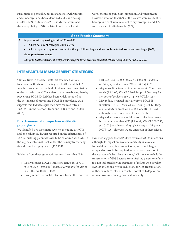susceptible to penicillin, but resistance to erythromycin and clindamycin has been identified and is increasing. (17,120–122) In Ontario, a 2017 study that examined the susceptibility of GBS isolates found that all strains

were sensitive to penicillin, ampicillin and vancomycin. However, it found that 89% of the isolates were resistant to tetracycline, 36% were resistant to erythromycin, and 33% were resistant to clindamycin. (122)

### Good Practice Statement:

- 5. Request sensitivity testing for the GBS swab if:
	- Client has a confirmed penicillin allergy.
	- Client reports symptoms consistent with a penicillin allergy and has not been tested to confirm an allergy. [2022]

### **Good practice statement**

*This good practice statement recognizes the larger body of evidence on antimicrobial susceptibility of GBS isolates.* 

# INTRAPARTUM MANAGEMENT STRATEGIES

Clinical trials in the late 1980s that evaluated various treatment methods for reducing EOGBSD found that IAP was the most effective method of interrupting transmission of the bacteria from GBS carriers to their newborns, thereby preventing EOGBSD. IAP has been widely accepted as the best means of preventing EOGBSD; prevalence data suggests that IAP strategies may have reduced rates of EOGBSD in the newborn from one in 100 to one in 2000. (8,16)

# Effectiveness of intrapartum antibiotic prophylaxis

We identified two systematic reviews, including 13 RCTs and one cohort study, that reported on the effectiveness of IAP for birthing parents known to be colonized with GBS in the vaginal/ intestinal tract and/or the urinary tract at any time during their pregnancy. (123,124)

Evidence from these systematic reviews shows that IAP:

- Likely reduces EOGBS infections (RR 0.28, 95% CI 0.15-0.55, p = 0.0002) [*moderate certainty of evidence*;  $n = 1014$ ; six RCTs]. (123)
- Likely reduces neonatal infections from other bacteria

(RR 0.25, 95% CI 0.20-0.62, p = 0.0002) [*moderate certainty of evidence*; n = 592; six RCTs]. (123)

- May make little to no difference in non-GBS neonatal sepsis (RR 1.00, 95% CI 0.10-9.94, p = 1.00) [*very low certainty of evidence*; n = 289; two RCTs]. (125)
- May reduce neonatal mortality from EOGBSD infection (RR 0.31, 95% CI 0.01-7.50, p = 0.47) [*very low certainty of evidence*; n = 164; one RCT] (126), although we are uncertain of these effects.
- May reduce neonatal mortality from infections caused by bacteria other than GBS (RR 0.31, 95% CI 0.01-7.50,  $p = 0.47$ ) [*very low certainty of evidence*;  $n = 164$ ; one RCT] (126), although we are uncertain of these effects.

Evidence suggests that IAP likely reduces EOGBS infections, although its impact on neonatal mortality is less clear. Neonatal mortality is a rare outcome, and much larger sample sizes would be required to have more precision in the estimate of effect. Furthermore, IAP is meant to halt the transmission of GBS bacteria from birthing parent to infant; it is not indicated for the treatment of infants who develop EOGBS infections. While reductions in GBS transmission, in theory, reduce rates of neonatal mortality, IAP plays an indirect role in reducing neonatal mortality.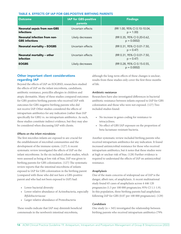### TABLE 4. EFFECTS OF IAP FOR GBS-POSITIVE BIRTHING PARENTS

| <b>Outcome</b>                                        | <b>IAP for GBS-positive</b><br>parents | <b>Findings</b>                             |
|-------------------------------------------------------|----------------------------------------|---------------------------------------------|
| <b>Neonatal sepsis from non-GBS</b><br>infections     | Uncertain effects                      | (RR 1.00, 95% CI 0.10-10.04,<br>$p = 1.00$  |
| Neonatal infection from non-<br><b>GBS</b> infections | Likely decreases                       | (RR 0.35, 95% CI 0.20-0.62,<br>$p = 0.0002$ |
| <b>Neonatal mortality - EOGBS</b>                     | Uncertain effects                      | (RR 0.31, 95% CI 0.01-7.50,<br>$p = 0.47$   |
| Neonatal mortality – other<br>infection               | Uncertain effects                      | (RR 0.31, 95% CI 0.01-7.50,<br>$p = 0.47$   |
| <b>EOGBS</b>                                          | Likely decreases                       | (RR 0.28, 95% CI 0.15-0.55,<br>$p = 0.0002$ |

# Other important client considerations regarding IAP

Beyond the effects of IAP on EOGBSD, researchers studied the effects of IAP on the infant microbiota, candidiasis, antibiotic resistance, penicillin allergies in children and atopic dermatitis. Many of these studies compared outcomes for GBS-positive birthing parents who received IAP with outcomes for GBS-negative birthing parents who did not receive IAP. Other studies considered the effects of intrapartum antibiotics for any indication (rather than IAP specifically for GBS) vs. no intrapartum antibiotics. As such, these studies constitute indirect evidence, but they may also be considered when discussing IAP with clients.

### *Effects on the infant microbiota*

The first microbes infants are exposed to are crucial for the establishment of microbial communities and the development of the immune system. (127) A recent systematic review investigated the effects of IAP on the infant microbiome. In the six included cohort studies, which were assessed as being at low risk of bias, IAP was given to birthing parents for GBS colonization. (127) The systematic review reports that the intestinal microbiota of infants exposed to IAP for GBS colonization in the birthing parent (compared with those who did not have a GBS-positive parent and who had not been exposed to IAP) had:

- Lower bacterial diversity
- Lower relative abundance of Actinobacteria, especially *Bifidobacteriaceae*
- Larger relative abundance of Proteobacteria

These results indicate that IAP may diminish beneficial commensals in the newborn's intestinal microbiota,

although the long-term effects of these changes is unclear; results from these studies only cover the first three months of life.

### *Antibiotic resistance*

Researchers have also investigated differences in bacterial antibiotic resistance between infants exposed to IAP for GBS colonization and those who were not exposed. (127) Two included studies found:

- No increase in genes coding for resistance to tetracyclines;
- No effect of GBS IAP exposure on the proportion of beta-lactamase-resistant bacteria.

Another systematic review included birthing parents who received intrapartum antibiotics for any indication. It found increased antimicrobial resistance for those who received intrapartum antibiotics, but it notes that these studies were at high or unclear risk of bias. (128) Further evidence is required to understand the effects of IAP on antimicrobial resistance.

## *Anaphylaxis*

One of the main concerns of widespread use of IAP is the danger, albeit rare, of anaphylaxis. A recent multinational study found 65 cases of anaphylaxis across 4 446 120 pregnancies (1.5 per 100 000 pregnancies; 95% CI 1.1-1.9). In this population, three birthing parents had anaphylaxis following IAP for GBS (0.07 per 100 000 pregnancies). (129)

## *Candidiasis*

One study ( $n = 345$ ) investigated the relationship between birthing parents who received intrapartum antibiotics (79%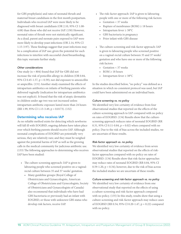for GBS prophylaxis) and rates of neonatal thrush and maternal breast candidiasis in the first month postpartum. Individuals who received IAP were more likely to be diagnosed with breast candidiasis (OR 2.10, 95% CI 1.08- 4.08) than those who did not receive IAP. (130) However, neonatal rates of thrush were not statistically significant. As a dyad, parent and neonate pairs exposed to IAP were more likely to develop yeast infections (OR 2.14, 95% CI 1.15-3.97). These findings suggest that yeast infections may be a complication of IAP use; given the potential for such infections to interfere with successful chest/breastfeeding, this topic warrants further study.

### *Other considerations*

One study ( $n = 804$ ) found that IAP for GBS did not increase the risk of penicillin allergy in children (OR 0.84, 95% CI 0.45-1.57,  $p = 0.59$ ; nor did exposure to amoxicillin or ampicillin. (131) Another study examined the effects of intrapartum antibiotics on infants of birthing parents who delivered vaginally (indication for intrapartum antibiotics was not explicit). It found that the risk of atopic dermatitis in children under age two was not increased unless intrapartum antibiotic exposure lasted more than 24 hours (RR 1.99, 95% CI 1.13-3.49, p = 0.0173). (132)

### Determining who receives IAP

As no reliable method exists for detecting which newborns will fall ill with EOGBSD, ongoing debates have taken place over which birthing parents should receive IAP. Although neonatal complications of EOGBSD are potentially very serious, they are relatively rare; and they must be weighed against the potential harms of IAP as well as the growing calls in the medical community for judicious antibiotic use. (133) The following approaches to determining who receives IAP have been studied:

- The culture-screening approach: IAP is given to labouring people who screened positive on a vaginalrectal culture between 35 and 37 weeks' gestation.
	- Many guideline groups (Royal College of Obstetricians and Gynaecologists, American College of Obstetricians and Gynecologists, Society of Obstetricians and Gynaecologists of Canada) also recommend that individuals who have had GBS bacteriuria or previously had an infant with EOGBSD, or those with unknown GBS status who develop risk factors, receive IAP.
- The risk-factor approach: IAP is given to labouring people with one or more of the following risk factors:
	- Gestation < 37 weeks
	- Rupture of membranes  $(ROM) \geq 18$  hours
	- Intrapartum fever ≥ 38°C
	- GBS bacteriuria in pregnancy
	- Prior infant with GBS disease
- The culture-screening and risk-factor approach: IAP is given to labouring people who screened positive on a vaginal-rectal culture between 35 and 37 weeks' gestation and who have one or more of the following risk factors:
	- Gestation  $<$  37 weeks
	- $ROM \geq 18$  hours
	- Intrapartum fever ≥ 38°C

In the studies described below, "no policy" was defined as a situation in which no consistent protocol was used, but IAP could have been administered on an individual basis.

### *Culture screening vs. no policy*

We identified very low certainty of evidence from four observational studies that reported on the effects of the culture-screening approach to IAP compared with no policy on rates of EOGBSD. (134) Results show that the culturescreening approach reduces rates of neonatal EOGBSD (RR 0.31, 95% CI 0.11-0.84,  $p = 0.02$ ) when compared with no policy. Due to the risk of bias across the included studies, we are uncertain of these results.

### *Risk-factor approach vs. no policy*

We identified very low certainty of evidence from seven observational studies that reported on the effects of riskfactor approaches compared with no policy on rates of EOGBSD. (134) Results show that risk-factor approaches may reduce rates of neonatal EOGBSD (RR 0.84, 95% CI 0.59-1.20,  $p = 0.34$ ; however, due to the risk of bias across the included studies we are uncertain of these results.

### *Culture-screening and risk-factor approach vs. no policy*

We identified very low certainty of evidence from one observational study that reported on the effects of using a culture-screening and risk-factor approach compared with no policy. (135) In this study, results show that using a culture-screening and risk-factor approach may reduce cases of EOGBSD (RR 0.54, 95% CI 0.20-1.47, p = 0.22) compared with no policy.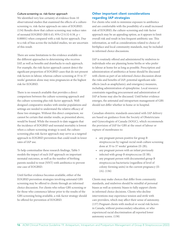### *Culture-screening vs. risk-factor approach*

We identified very low certainty of evidence from 10 observational studies that examined the effects of a culturescreening vs. risk-factor approach on rates of EOGBSD. (134) Results show that culture screening may reduce rates of neonatal EOGBSD (RR 0.43, 95% CI 0.32-0.58, p < 0.00001) when compared with a risk-factor approach. Due to a risk of bias across the included studies, we are uncertain of this result.

There are some limitations to the evidence available on the different approaches to determining who receives IAP, as well as benefits and drawbacks to each approach. For example, the risk-factor approach cannot detect the significant proportion of EOGBSD cases that do not present risk factors in labour, whereas culture screening at 35 to 37 weeks' gestation alone may miss pregnancies at the highest risk for EOGBSD.

There is no research available that provides a direct comparison between the culture-screening approach and the culture-screening plus risk-factor approach. Welldesigned comparative studies with similar populations and settings are needed to understand the relative efficacy of these two strategies. Without this direct comparison, we cannot be certain that similar results, as presented above, would be found. While the research to date suggests that the incidence of EOGBSD and neonatal mortality is lowest when a culture-screening strategy is used, the culturescreening plus risk-factor approach may serve as a targeted approach to EOGBSD prevention that could result in lower rates of IAP use.

To help contextualize these research findings, Table 5 models the impact of each IAP approach on important neonatal outcomes, as well as the number of birthing parents needed to treat (NNT) with antibiotics to prevent one case of EOGBSD.

Until further evidence becomes available, either of the EOGBSD prevention strategies involving antenatal GBS screening may be offered to clients through an informed choice discussion. For clients who refuse GBS screening or for those who commence labour prior to the results of the GBS screening being available, a risk-factor strategy should be offered for prevention of EOGBSD.

# Other important client considerations regarding IAP strategies

For clients who wish to minimize exposure to antibiotics and are comfortable with the possibility of a small increased risk of EOGBSD, the culture-screening and risk-factor approach may be an appealing option, as it appears to limit overall risk and result in less frequent antibiotic use. This information, as well as considerations related to choice of birthplace and local community standards, may be included in informed choice discussions.

IAP is routinely offered and administered by midwives to individuals who are planning home births or who prefer to labour at home for as long as possible. Prescription and administration of antibiotics at home should be discussed with clients as part of an informed choice discussion about the risks and benefits of IAP; potential significant sideeffects (such as anaphylaxis); and emergency measures, including administration of epinephrine. Local resource constraints regarding procurement and administration of IAP at home may also be discussed. Until better evidence emerges, the antenatal and intrapartum management of GBS should not differ whether in home or in hospital.

Canadian obstetric standards associated with IAP delivery are based on guidance from the Society of Obstetricians and Gynecologists of Canada (SOGC), which recommends the provision of IAP for GBS at the onset of labour or rupture of membranes to:

- any pregnant person positive for group B streptococcus by vaginal-rectal swab culture screening done at 35 to 37 weeks' gestation (II-2B);
- any pregnant person with an infant previously infected with group B streptococcus (II 3B);
- any pregnant person with documented group B streptococcus bacteriuria (regardless of level of colony-forming units) in the current pregnancy (II-2A). (136)

Clients may make choices that differ from community standards, and midwives should be mindful of personal biases as well as systemic biases to fully support clients in informed choice decisions. Clients who decline interventions may experience tension and strife with care providers, which may affect their sense of autonomy. (137) Pregnant clients with medical or social risk factors in Canada, without postsecondary education, or who experienced racial discrimination all reported lower autonomy scores. (138)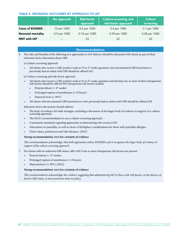### TABLE 5. NEONATAL OUTCOMES BY APPROACH TO IAP

|                           | No approach              | <b>Risk-factor</b><br>approach | <b>Culture-screening and</b><br>risk-factor approach | <b>Culture</b><br>screening |
|---------------------------|--------------------------|--------------------------------|------------------------------------------------------|-----------------------------|
| <b>Cases of EOGBSD</b>    | 10 per 1000              | 8.4 per 1000                   | 5.4 per 1000                                         | 3.1 per 1000                |
| <b>Neonatal mortality</b> | 0.9 per 1000             | 0.76 per 1000                  | 0.49 per 1000                                        | 0.28 per 1000               |
| <b>NNT with IAP</b>       | $\overline{\phantom{0}}$ | 23                             | 22                                                   | 63                          |

### Recommendations:

6. The risks and benefits of the following two approaches to IAP delivery should be discussed with clients as part of their informed choice discussion about GBS:

a) Culture-screening approach

• All clients who receive a GBS-positive swab at 35 to 37 weeks' gestation, have documented GBS bacteriuria or previously had an infant with GBS should be offered IAP.

b) Culture-screening and risk-factor approach

- All clients who receive a GBS-positive swab at 35 to 37 weeks' gestation and develop one or more of these intrapartum risk factors should be offered IAP. Intrapartum risk factors include:
	- Preterm labour (< 37 weeks)
	- Prolonged rupture of membranes ( $\geq 18$  hours)
	- Maternal fever ( $\geq 38^{\circ}$ C)
- All clients with documented GBS bacteriuria or who previously had an infant with GBS should be offered IAP.

Informed choice discussions should address:

- The body of evidence for both strategies, including a discussion of the larger body of evidence in support of a culturescreening approach;
- The SOGC recommendation to use a culture-screening approach;
- Community standards regarding approaches to determining who receives IAP;
- Alternatives to penicillin, as well as choice of birthplace considerations for those with penicillin allergies;
- Client values, preferences and risk tolerance. [2022]

### **Strong recommendation; very low certainty of evidence**

*This recommendation acknowledges that both approaches reduce EOGBSD, and it recognizes the larger body of evidence in support of the culture-screening approach.* 

- 7. For clients with an unknown GBS status, offer IAP if one or more intrapartum risk factors are present:
	- Preterm labour (< 37 weeks)
	- Prolonged rupture of membranes ( $\geq 18$  hours)
	- Maternal fever ( $\geq 38^{\circ}$ C) [2022]

### **Strong recommendation; very low certainty of evidence**

*This recommendation acknowledges the evidence suggesting that administering IAP to those with risk factors, in the absence of known GBS status, is more protective than no policy.*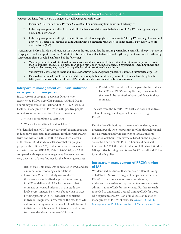### Practical considerations for administering IAP:

Current guidance from the SOGC suggests the following approach to IAP:

- 1. Penicillin G 5.0 million units IV, then 2.5 to 3.0 million units every four hours until delivery; or
- 2. If the pregnant person is allergic to penicillin but has a low risk of anaphylaxis, cefazolin 2 g IV, then 1 g every eight hours until delivery; or
- 3. If the pregnant person is allergic to penicillin and at risk of anaphylaxis: clindamycin 900 mg IV every eight hours until delivery (if isolate is susceptible to clindamycin with no inducible resistance), or vancomycin 1 g IV every 12 hours until delivery. (136)

Vancomycin hydrochloride is indicated for GBS IAP in the rare event that the birthing parent has a penicillin allergy; is at risk of anaphylaxis; and tests positive for a GBS strain that is resistant to both clindamycin and erythromycin. If vancomycin is the only IAP option, clients should be informed of the following:

- Vancomycin must be administered intravenously in a dilute solution by intermittent infusion over a period of no less than 60 minutes (at a rate of no more than 10 mg/min), by IV pump. Exaggerated hypotension, including shock, and rarely cardiac arrest, may result from rapid bolus administration of vancomycin.
- Vancomycin is irritating to tissue and causes drug fever, pain and possibly necrosis if injected intramuscularly. (139)
- Due to the controlled conditions under which vancomycin is administered, home birth is not a feasible option for GBS-positive individuals who choose IAP and whose only choice of antibiotic is vancomycin.

### Intrapartum management of PROM: induction vs. expectant management

In 2019, 9.6% of pregnant people in Ontario who experienced PROM were GBS positive. As PROM (≥ 18 hours) may increase the likelihood of EOGBSD (see Risk Factors), management of PROM in GBS-positive people raises two important questions for care providers:

- 1. When is the ideal time to start IAP?
- 2. When is the ideal time to induce labour?

We identified one RCT (*very low certainty*) that investigates induction vs. expectant management for those with PROM (with and without GBS). (140) In a secondary analysis of the TermPROM study, results show that for pregnant people with GBS ( $n = 270$ ), induction may reduce cases of neonatal infection (RR 0.31, 95% CI 0.09-1.07, p = 0.06) compared with expectant management. However, we are very uncertain of these findings for the following reasons:

- Risk of bias: This study was conducted in 1996 and has a number of methodological limitations.
- Directness: When this study was conducted, there was no standardized approach to screening for GBS or delivery of IAP, which suggests that estimates of neonatal infection in this study are likely overestimated. Decisions about when to treat birthing parents with IAP were left to clinicians' individual judgment. Furthermore, the results of GBS culture screening were not available at birth for most individuals, which means clinicians were not basing treatment decisions on known GBS status.

• Precision: The number of participants in the trial who had GBS and PROM was quite low; larger sample sizes would be required to have confidence in these estimates.

The data from the TermPROM trial also does not address different management approaches based on length of PROM.

Despite these limitations in the research evidence, many pregnant people who test positive for GBS through vaginalrectal screening and who experience PROM undergo induction of labour with oxytocin, based on the suspected association between  $PROM \geq 18$  hours and neonatal infection. In 2019, the rate of induction following PROM in GBS-positive birthing parents was 76.5% overall and 68.6% for midwifery clients.

# Intrapartum management of PROM: timing of IAP

We identified no studies that compared different timing of IAP for GBS-positive pregnant people who experience PROM. In the absence of research on this topic, midwives use a variety of approaches to ensure adequate administration of IAP for these clients. Further research is needed to understand optimal timing of IAP for those who experience PROM. For a full discussion related to management of PROM at term, see [AOM CPG No. 13:](https://www.ontariomidwives.ca/sites/default/files/2020-06/CPG-Management-of-prelabour-rupture-of-membranes-2019-PUB.pdf)  [Management of Prelabour Rupture of Membranes at Term](https://www.ontariomidwives.ca/sites/default/files/2020-06/CPG-Management-of-prelabour-rupture-of-membranes-2019-PUB.pdf).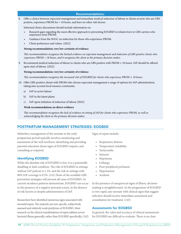### Recommendations:

8. Offer a choice between expectant management and immediate medical induction of labour to clients at term who are GBS positive, experience PROM for < 18 hours, and have no other risk factors.

Informed choice discussions should include information on:

- Research gaps regarding the most effective approach to preventing EOGBSD in infants born to GBS carriers who experience term PROM;
- Guidance from the SOGC on induction for those who experience PROM;
- Client preferences and values. [2022]

### **Strong recommendation; very low certainty of evidence**

*This recommendation recognizes the limited evidence on expectant management and induction of GBS-positive clients who experience PROM < 18 hours, and it recognizes the client as the primary decision-maker.* 

9. Recommend medical induction of labour to clients who are GBS positive with PROM ≥ 18 hours. IAP should be offered upon start of labour. [2022]

### **Strong recommendation; very low certainty of evidence**

*This recommendation recognizes the increased risk of EOGBSD for clients who experience PROM ≥ 18 hours.*

- 10. Offer GBS-positive clients with PROM who choose expectant management a range of options for IAP administration, taking into account local resource constraints:
	- a) IAP in active labour
	- b) IAP in the latent phase
	- c) IAP upon initiation of induction of labour [2022]

### **Weak recommendation; no direct evidence**

*This recommendation recognizes the lack of evidence on timing of IAP for clients who experience PROM, as well as acknowledging the client as the primary decision-maker.* 

# POSTPARTUM MANAGEMENT STRATEGIES: EOGBSD

Midwifery management of the neonate in the early postpartum period typically involves monitoring and assessment of the well newborn; identifying and providing parental education about signs of EOGBSD (sepsis); and consulting as required.

### Identifying EOGBSD

While the absolute risk of EOGBSD is low, it is a potentially disabling or fatal condition. The risk of EOGBSD in settings without IAP policies is 1.1%, and the risk in settings with 80% IAP coverage is 0.3%. (141) None of the available GBS prevention strategies will prevent all cases of EOGBSD. As current incidence patterns demonstrate, EOGBSD can occur in the presence of a negative prenatal screen, in the absence of risk factors or despite administration of IAP.

Researchers have identified numerous signs associated with neonatal sepsis. The majority are non-specific, subjectively assessed and relatively weak predictors of EOGBSD. Most research on the clinical manifestations of sepsis address severe bacterial illness generally, rather than EOGBSD specifically. (142) Signs of sepsis include:

- Respiratory distress
- Temperature instability
- **Tachycardia**
- **Seizures**
- Hypotonia
- Lethargy
- Poor peripheral perfusion
- Hypotension
- Acidosis

In the presence of unequivocal signs of illness, decisionmaking is straightforward. As the progression of EOGBSD is very rapid, any neonate with clinical signs that suggest infection should receive immediate assessment and consultation for treatment. (143)

### Assessments for EOGBSD

In general, the value and accuracy of clinical assessments for EOGBSD are difficult to evaluate. There is no clear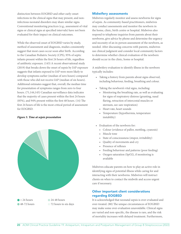distinction between EOGBSD and other early-onset infections in the clinical signs that may present, and noninfectious neonatal disorders may share similar signs. Conventional monitoring practices (e.g., assessment of vital signs or clinical signs at specified intervals) have not been evaluated for their impact on clinical outcomes.

While the observed onset of EOGBSD varies by study, method of assessment and diagnosis, studies consistently suggest that most cases occur soon after birth. According to the Canadian Pediatric Society (CPS), 95% of septic infants present within the first 24 hours of life, regardless of antibiotic exposure. (143) A recent observational study (2019) that breaks down the onset of sepsis by IAP exposure suggests that infants exposed to IAP were more likely to develop symptoms earlier (median of zero hours) compared with those who did not receive IAP (median of six hours). Additional estimates suggest that, overall, the median time for presentation of symptoms ranges from zero to four hours. (71,144,145) Canadian surveillance data indicates that the majority of cases present within the first 24 hours (85%), and 94% present within the first 48 hours. (14) The first 24 hours of life is the most critical period of assessment for EOGBSD.

### *Figure 3. Time at sepsis presentation*



### Midwifery assessments

Midwives regularly monitor and assess newborns for signs of sepsis. As community-based practitioners, midwives may conduct assessments and monitor the newborn in the home, clinic, birth centre or hospital. Midwives also respond to telephone inquiries from parents about their newborns, give advice by phone and determine the urgency and necessity of an in-person assessment of the newborn, as needed. After discussing concerns with parents, midwives use clinical judgment and consider local community factors to determine whether clinical evaluation of the newborn should occur in the clinic, home or hospital.

A midwifery evaluation to identify illness in the newborn typically includes:

- Taking a history from parents about signs observed, including behaviour, feeding, breathing and colour.
- Taking the newborn's vital signs, including:
	- Monitoring the breathing rate, as well as evaluating for signs of respiratory distress (grunting, nasal flaring, retraction of intercostal muscles or sternum, see-saw respiration)
	- Heart rate, heart sounds
	- Temperature (hypothermia, temperature instability)
- Evaluation of the newborn for:
	- Colour (evidence of pallor, mottling, cyanosis)
	- Muscle tone
	- State of consciousness (stupor, irritability)
	- Quality of movements and cry
	- Presence of reflexes
	- Feeding behaviour and patterns (poor feeding)
	- Oxygen saturation (SpO2), if monitoring is available

Midwives educate parents on how to play an active role in identifying signs of potential illness while caring for and interacting with their newborns. Midwives will instruct clients on when to contact the midwife and access urgent care if necessary.

# Other important client considerations regarding EOGBSD

It is acknowledged that neonatal sepsis is over-evaluated and over-treated. (80) The unique circumstances of EOGBSD may make some over-evaluation unavoidable. Clinical signs are varied and non-specific, the disease is rare, and the risk of mortality increases with delayed treatment. Furthermore,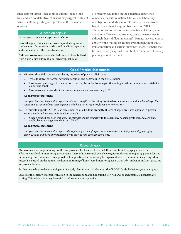since tests for sepsis (such as blood cultures) take a long time and are not definitive, clinicians may suggest treatment while results are pending or regardless of their eventual outcome.

### A note on sepsis:

In the research evidence, sepsis may refer to:

**Clinical sepsis**: Clinician-diagnosed sepsis lacking culture confirmation. Diagnosis is made based on clinical symptoms and elimination of other possible causes.

**Culture-proven invasive sepsis:** Pathogen has been isolated from a sterile site culture (blood, cerebrospinal fluid).

No research was found on the qualitative experience of neonatal sepsis evaluation. Clinical and laboratory investigations undertaken to rule out sepsis may involve blood draws, chest X-ray, lumbar puncture, NICU admission and separation of neonate from birthing parent and family. These procedures may cause the neonate pain, although that is difficult to quantify. Parents may experience anxiety while waiting for results, even though the absolute risk of infection and serious outcomes is rare. Neonates may be unnecessarily exposed to antibiotics for empirical therapy pending laboratory results.

### Good Practice Statements:

11. Midwives should discuss with all clients, regardless of prenatal GBS status:

- What to expect as normal newborn transition and behaviour in the first 24 hours;
- How to recognize signs in the newborn that may be indicative of sepsis (including breathing, temperature instability, colour and tone);
- How to contact the midwife and access urgent care when necessary. [2022]

### **Good practice statement**

*This good practice statement recognizes midwives' strengths in providing health education to clients, and it acknowledges that sepsis may occur in infants born to parents who have tested negative for GBS or received IAP.* 

- 12. If a midwife suspects EOGBSD, an assessment should be done promptly. If signs of sepsis are noted upon an in-person exam, they should arrange an immediate consult.
	- Once a consult has been initiated, the midwife should discuss with the client any hospital protocols and care plans applicable to management decisions. [2022]

### **Good practice statement**

*This good practice statement recognizes the rapid progression of sepsis, as well as midwives' ability to identify emerging complications and work interprofessionally to provide safe, excellent client care.* 

### Research gap:

Midwives may be unique among health-care providers for the extent to which they educate and engage parents to be effectively involved in monitoring their infants. There is little research available to guide midwives in preparing parents for this undertaking. Further research is required on best practices for monitoring for signs of illness in the community setting. More research is needed on the optimal methods and timing of home-based monitoring for EOGBSD by midwives and best practices for parent education.

Further research is needed to develop tools for early identification of infants at risk of EOGBSD, ideally before symptoms appear.

Studies of the efficacy of sepsis evaluation in the general population, including low-risk and/or asymptomatic neonates, are lacking. This information may be useful to inform midwifery practice.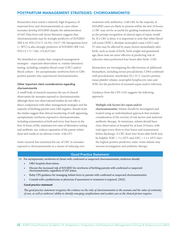# POSTPARTUM MANAGEMENT STRATEGIES: CHORIOAMNIONITIS

Researchers have noted a relatively high frequency of maternal fever and chorioamnionitis in cases where neonates develop EOGBSD despite the administration of IAP. Data from risk-factor literature suggests that chorioamnionitis may be strongly predictive of EOGBSD (RR 4.19, 95% CI 0.71-24.59). (19,57–59) Intrapartum fever (> 38°C) is also strongly predictive of EOGBSD (RR 3.62, 95% CI 1.71-7.66). (19,56,57,64)

We identified no studies that compared management strategies – expectant observation vs. routine laboratory testing, including complete blood count (CBC) and/or blood culture – for asymptomatic newborns born to GBSpositive parents who experienced chorioamnionitis.

### *Other important client considerations regarding chorioamnionitis*

A small body of research examines the use of clinical observation for neonates exposed to chorioamnionitis, although these two observational studies do not offer a direct comparison with other management strategies and the majority of birthing parents were GBS negative. Results from the studies suggest that clinical monitoring of well-appearing, asymptomatic newborns exposed to chorioamnionitis, including examination at birth and every four hours in the first 24 hours of life, maintains low rates of laboratory testing and antibiotic use, reduces separation of the parent-infant dyad and results in no adverse events. (146,147)

Some research has examined the use of CBC in neonates exposed to chorioamnionitis as a means of reducing overtreatment with antibiotics. (148,149) As the majority of EOGBSD cases are likely to present within the first 24 hours, a CBC may not be as useful for guiding treatment decisions as the prompt recognition of clinical signs of sepsis would be. If a CBC is done, it is important to note that white blood cell count (WBC), absolute neutrophil count (ANC) and IT ratio may be affected by many factors immediately after birth, such as mode of birth, birth weight and gestational age; these tests are more effective at predicting risk of infection when performed four hours after birth. (150)

Researchers are investigating the effectiveness of additional biomarkers, including serum procalcitonin, CD64 combined with procalcitonin, interleukin (IL)-35, C reactive protein, mean platelet volume, neutrophil-lymphocyte ratio and WBC for the prediction of neonatal sepsis and/or infection.

Guidance from the CPS (143) suggests the following approach:

### **Multiple risk factors for sepsis and/or**

**chorioamnionitis:** Infants should be investigated and treated using an individualized approach that includes consideration of the severity of risk factors and maternal antibiotic therapy. At minimum, infants should have close observation in hospital for at least 24 hours, with vital signs every three to four hours and reassessment before discharge. A CBC done four hours after birth may be helpful; WBC  $< 5 \times 10^9$ /L and ANC  $< 1.5 \times 10^9$ /L have the highest positive predictive value. Some infants may warrant investigation and antibiotic therapy.

### Good Practice Statement:

13. For asymptomatic newborns of clients with confirmed or suspected chorioamnionitis, midwives should:

- Offer hospital observation;
- Discuss the increased risk of EOGBSD for newborns of birthing parents with confirmed or suspected chorioamnionitis, regardless of IAP status;
- Relay CPS guidance for managing infants born to parents with confirmed or suspected chorioamnionitis;
- Consult with a pediatrician or physician if assessment or treatment is required. [2022]

### **Good practice statement**

*This good practice statement recognizes the evidence on the risks of chorioamnionitis to the neonate and the value of continuity of care, as well as midwives' ability to identify emerging complications and escalate care as the clinical picture requires.*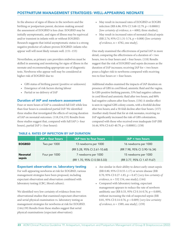# POSTPARTUM MANAGEMENT STRATEGIES: WELL-APPEARING NEONATE

In the absence of signs of illness in the newborn and the birthing or postpartum parent, decision-making around the assessment of EOGBSD is less clear. EOGBSD may be initially asymptomatic, and signs of illness may be equivocal and/or transient in infants with or without EOGBSD. Research suggests that initial asymptomatic status is a strong negative predictor of culture-proven EOGBSD: infants who appear well will most likely remain well. (151–153)

Nevertheless, as primary care providers midwives must be skilled in assessing and monitoring for signs of illness in the neonate and recommending appropriate use of diagnostic tests. Newborns who appear well may be considered at higher risk of EOGBSD due to:

- GBS status of birthing parent (positive or unknown)
- Emergence of risk factors during labour
- Partial or no delivery of IAP

### Duration of IAP and newborn assessment

Four or more hours of IAP is considered full IAP, while less than four hours is considered partial IAP. We identified three studies that investigated the effects of varying duration of IAP on neonatal outcomes. (118,154,155) Results from these studies suggest that, compared with full IAP (> four hours), partial IAP (< four hours):

- May result in increased rates of EOGBSD or EOGBS infection (RR 6.86, 95% CI 3.68-12.79, p < 0.00001) [*low certainty of evidence*,  $n = 6082$ ; three studies];
- May result in increased rates of neonatal clinical sepsis (RR 2.74, 95% CI 1.31-5.74, p = 0.008) [*low certainty of evidence*, n = 4782, one study].

One study examined the effectiveness of partial IAP in more detail, comparing the effectiveness of a duration of < two hours, two to four hours and > four hours. (118) Results suggest that the risk of EOGBSD and sepsis decreases as the duration of IAP increases; receiving IAP for < two hours poses a higher risk to newborns compared with receiving two to four hours or > four hours.

Additional studies examined the impacts of IAP duration on presence of GBS in cord blood, amniotic fluid and the vagina. In GBS-positive birthing parents, 53% had negative cultures in cord blood and amniotic fluid after two hours, and 88% had negative cultures after four hours. (156) A similar effect is seen in vaginal GBS colony counts, with a fivefold decline after two hours; and a 50-fold decline after four hours. (157) Another study found that for at-risk neonates, receiving no IAP significantly increased the risk of GBS colonization, compared with those who received even inadequate IAP (RR 16.44, 95% CI 6.63-40.79, p < 0.00001). (158)

|                 | $1AP$ > four hours | IAP two to four hours        | IAP < two hours              |
|-----------------|--------------------|------------------------------|------------------------------|
| <b>EOGBSD</b>   | Two per 1000       | 13 newborns per 1000         | 16 newborns per 1000         |
|                 |                    | (RR 5.28, 95% CI 2.61-10.68) | (RR 7.98, 95% CI 3.90-16.34) |
| <b>Neonatal</b> | Four per 1000      | 7 newborns per 1000          | 15 newborns per 1000         |
| sepsis          |                    | (RR 1.70, 95% CI 0.58-5.03)  | (RR 3.77, 95% CI 1.47-9.67)  |

### TABLE 6. RATES OF INFECTION BY IAP DURATION

### Expectant observation vs. laboratory testing

For well-appearing newborns at risk for EOGBSD, various management strategies have been proposed, including expectant observation and observation combined with laboratory testing (CBC, blood culture).

We identified very low certainty of evidence from two observational studies that examined expectant observation and serial physical examination vs. laboratory testing as management strategies for newborns at risk for EOGBSD. (144,159) Results from these studies suggest that serial physical examinations (expectant observation):

- Are similar in their ability to detect early-onset sepsis (RR 0.80, 95% CI 0.55-1.17) or severe disease (RR 0.70, 95% CI 0.27-1.85, p = 0.47) [*very low certainty of evidence*, n = 532 154, one study]; (144)
- Compared with laboratory testing, expectant management appears to reduce the rate of newborn antibiotic use (RR 0.33, 95% CI 0.14-0.76, p = 0.009), without increasing the risk of suspected sepsis (RR 0.81, 95% CI 0.14-0.76, p = 0.009) [*very low certainty of evidence*, n = 1589, one study]. (159)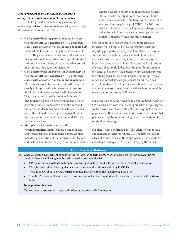### *Other important client considerations regarding management of well-appearing at-risk neonates*

The CPS (143) provides the following guidance for monitoring and assessment of well-appearing newborns ( $\geq$ 37 weeks) in the context of GBS:

- **GBS-positive birthing parent, adequate IAP, no risk factors OR GBS-negative or GBS-unknown status, with one other risk factor and adequate IAP:** Infants do not require investigation or treatment for sepsis. They may be discharged home after 24 hours if they remain well, meet other discharge criteria and if parents understand signs of sepsis and when to seek medical care. (Strong recommendation)
- **GBS-positive birthing parent, inadequate IAP, no risk factors OR GBS-negative or GBS-unknown status, with one other risk factor and inadequate IAP:** Infants should be examined at birth, observed closely in hospital with vital signs every three to four hours and reassessed before discharge home. They may be discharged home after 24 hours if they remain well and meet other discharge criteria, providing there is ready access to health care and the parents understand and are able to seek medical care if the infant develops signs of sepsis. Routine investigation or treatment is not required. (Strong recommendation)
- **Multiple risk factors for sepsis and/or chorioamnionitis:** Infants should be investigated and treated using an individualized approach that includes consideration of the severity of risk factors and maternal antibiotic therapy. At minimum, infants

should have close observation in hospital for at least 24 hours with vital signs every three to four hours and reassessment before discharge. A CBC done after 4 hours of age may be helpful;  $WBC < 5 \times 10^9/L$  and  $\text{ANC}$  < 1.5 x 10<sup>9</sup>/L have the highest positive predictive value. Some infants may warrant investigation and antibiotic therapy. (Weak recommendation)

CPS guidance differs from midwifery approaches, as it focuses on in-hospital birth, and recommendations regarding postpartum management are structured around standard discharge times. As a standard of midwifery care, early postpartum visits, along with home visits, are important components of how midwives monitor for signs of sepsis. They are skilled at providing health information to clients and empowering parents to play an active role in identifying signs of sepsis and urgently follow up. Typical models of midwifery care give clients round-the-clock access to midwives by phone or pager should concerns arise; and in-person assessment, rarely available in other models of care, can occur promptly if needed.

For those who have received adequate or inadequate IAP, the CPS is consistent with midwifery approaches suggesting that routine investigation or treatment is not required in these populations. These recommendations also acknowledge that parents are capable of monitoring newborns for signs of sepsis after discharge.

For clients with confirmed penicillin allergies who receive clindamycin or vancomycin, the CPS suggests that due to a lack of clinical trials on these approaches, they should be considered inadequate IAP when managing the neonate.

# Good Practice Statement:

- 14. When discussing management options for the well-appearing term newborn with risk factors for EOGBSD, midwives should address the following in informed choice discussions with clients:
	- CPS guidelines, as well as local hospital protocol applicable to the client's and newborn's clinical circumstances;
	- What is known about how any risk factors may increase the risks of developing EOGBSD;
	- What is known about how full, partial or no IAP may affect the risk of developing EOGBSD;
	- The client's values, preferences and risk tolerance, as well as their comfort level and ability to monitor their newborn. [2022]

### **Good practice statement**

*This good practice statement recognizes the client as the primary decision-maker.*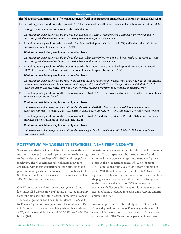### Recommendations:

### **The following recommendations refer to management of well-appearing term infants born to parents colonized with GBS:**

15. For well-appearing newborns who received IAP ≥ four hours before birth, midwives should offer home observation. [2022]

### **Strong recommendation; very low certainty of evidence**

*This recommendation recognizes the evidence that IAP is most effective when delivered ≥ four hours before birth. It also acknowledges that observation in the home setting is appropriate for this population.* 

16. For well-appearing newborns who received < four hours of IAP prior to birth (partial IAP) and had no other risk factors, midwives may offer home observation. [2022]

### **Weak recommendation; very low certainty of evidence**

*This recommendation recognizes the evidence that IAP < four hours before birth may still reduce risks to the neonate. It also acknowledges that observation in the home setting is appropriate for this population.* 

17. For well-appearing newborns of clients who received < four hours of IAP prior to birth (partial IAP) and experienced PROM ≥ 18 hours and/or fever, midwives may offer home or hospital observation. [2022]

### **Weak recommendation; very low certainty of evidence**

*This recommendation recognizes the risks to the neonate posed by multiple risks factors, while acknowledging that the presence of one or more of these factors is not necessarily strongly predictive of EOGBSD and therefore should not limit choice. This recommendation also recognizes midwives' ability to provide relevant education to parents about neonatal sepsis.* 

18. For well-appearing newborns of clients who have not received IAP but have no other risk factors, midwives may offer home or hospital observation. [2022]

### **Weak recommendation; very low certainty of evidence**

*This recommendation recognizes the evidence that the risk of EOGBSD is highest when no IAP has been given, while acknowledging that GBS status alone is associated with a low absolute risk of EOGBSD and therefore should not limit choice.*

19. For well-appearing newborns of clients who have not received IAP and who experienced PROM ≥ 18 hours and/or fever, midwives may offer hospital observation. [new 2022]

### **Weak recommendation; very low certainty of evidence**

*This recommendation recognizes the evidence that receiving no IAP, in combination with PROM ≥ 18 hours, may increase risks to the neonate.*

# POSTPARTUM MANAGEMENT STRATEGIES: NEAR-TERM NEONATE

Since some midwives will maintain primary care of the well near-term neonate (≥ 34 weeks' gestation), research relating to the incidence and etiology of EOGBSD in this population is relevant. The near-term neonate will more likely face challenges with thermoregulation, feeding difficulties and poor immunological and respiratory defence systems. (160) See Risk Factors for evidence related to the increased risk of EOGBSD in preterm populations.

One UK case review of both early-onset ( $n = 377$ ) and late-onset GBS disease (n = 191) found increased mortality rates for both early and late infection in preterm (15.2% at ≤ 33 weeks' gestation) and near-term infants (13.2% at 34 to 36 weeks' gestation) compared with term infants (6.4% at  $\geq$  37 weeks). The overall mortality rate in this study was 9.7%, and the overall incidence of EOGBSD was 0.48/1000 births. (161)

Near-term neonates are not uniformly defined in research studies. Two prospective cohort studies were found that examined the incidence of sepsis evaluation and proven sepsis in the near-term neonate. Of 1233 near-term NICU admissions from 2000 to 2004 from a single site, six (4.9/1000) had culture-proven EOGBSD. Because the signs can be subtle or may mimic other medical conditions (hypoglycemia, delayed transition, transient tachypnea of the newborn), diagnosis of EOS in the near-term neonate is challenging. This may result in many near-term neonates being evaluated for sepsis and receiving empiric antibiotics. (162)

In another prospective cohort study of 119 130 neonates < three days old born at 34 to 36 weeks' gestation, 6/1000 cases of EOS were caused by any organism. No deaths were associated with GBS. Twenty-nine percent of near-term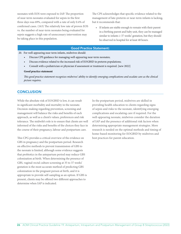neonates with EOS were exposed to IAP. The proportion of near-term neonates evaluated for sepsis in the first three days was 69%, compared with a rate of only 0.4% of confirmed cases. (163) The relatively low rate of proven EOS vs. the number of near-term neonates being evaluated for sepsis suggests a high rate of unnecessary intervention may be taking place in this population.

The CPS acknowledges that specific evidence related to the management of late-preterm or near-term infants is lacking, but it recommends that:

• If infants are stable enough to remain with their parent in a birthing parent and baby unit, they can be managed similar to infants ≥ 37 weeks' gestation, but they should be observed in hospital for at least 48 hours.

### Good Practice Statement:

### 20. For well-appearing near-term infants, midwives should:

- Discuss CPS guidance for managing well-appearing near-term neonates;
- Discuss evidence related to the increased risk of EOGBSD in preterm populations;
- Consult with a pediatrician or physician if assessment or treatment is required. [new 2022]

### **Good practice statement**

*This good practice statement recognizes midwives' ability to identify emerging complications and escalate care as the clinical picture requires.* 

# **CONCLUSION**

While the absolute risk of EOGBSD is low, it can result in significant morbidity and mortality in the neonate. Decision-making regarding prevention, screening and management will balance the risks and benefits of each approach, as well as a client's values, preferences and risk tolerance. The midwife's role is to ensure that clients are well informed of the risks and benefits of the choices they face in the course of their pregnancy, labour and postpartum care.

This CPG provides a critical overview of the evidence on GBS in pregnancy and the postpartum period. Research on effective methods to prevent transmission of GBS to the neonate is limited, although some evidence suggests that probiotics in the antepartum period may reduce GBS colonization at birth. When determining the presence of GBS, vaginal-rectal culture screening at 35 to 37 weeks' gestation is the most accurate method of predicting GBS colonization in the pregnant person at birth, and it is appropriate to provide self-sampling as an option. If GBS is present, clients may be offered two different approaches to determine when IAP is indicated.

In the postpartum period, midwives are skilled in providing health education to clients regarding signs of sepsis and risks to the neonate, identifying emerging complications and escalating care if required. For the well-appearing neonate, midwives consider the duration of IAP and the presence of additional risk factors when determining appropriate management strategies. More research is needed on the optimal methods and timing of home-based monitoring for EOGBSD by midwives and best practices for parent education.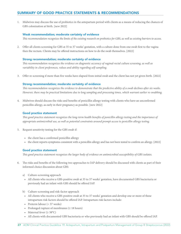# SUMMARY OF GOOD PRACTICE STATEMENTS & RECOMMENDATIONS

1. Midwives may discuss the use of probiotics in the antepartum period with clients as a means of reducing the chances of GBS colonization at birth. [new 2022]

### Weak recommendation; moderate certainty of evidence

*This recommendation recognizes the limits of the existing research on probiotics for GBS, as well as existing barriers to access.*

2. Offer all clients screening for GBS at 35 to 37 weeks' gestation, with a culture done from one swab first to the vagina then the rectum. Clients may be offered instructions on how to do the swab themselves. [2022]

### Strong recommendation; moderate certainty of evidence

*This recommendation recognizes the evidence on diagnostic accuracy of vaginal-rectal culture screening, as well as variability in client preferences, values and ability regarding self-sampling.* 

3. Offer re-screening if more than five weeks have elapsed from initial swab and the client has not yet given birth. [2022]

### Strong recommendation; moderate certainty of evidence

*This recommendation recognizes the evidence to demonstrate that the predictive ability of a swab declines after six weeks. However, there may be practical limitations due to long sampling and processing times, which warrant earlier re-swabbing.* 

4. Midwives should discuss the risks and benefits of penicillin allergy testing with clients who have an unconfirmed penicillin allergy, as early in their pregnancy as possible. [new 2022]

### Good practice statement

*This good practice statement recognizes the long-term health benefits of penicillin allergy testing and the importance of appropriate antimicrobial use, as well as potential constraints around prompt access to penicillin allergy testing.*

- 5. Request sensitivity testing for the GBS swab if:
	- the client has a confirmed penicillin allergy
	- the client reports symptoms consistent with a penicillin allergy and has not been tested to confirm an allergy. [2022]

### Good practice statement

*This good practice statement recognizes the larger body of evidence on antimicrobial susceptibility of GBS isolates.*

- 6. The risks and benefits of the following two approaches to IAP delivery should be discussed with clients as part of their informed choice discussion about GBS:
	- a) Culture-screening approach
	- All clients who receive a GBS-positive swab at 35 to 37 weeks' gestation, have documented GBS bacteriuria or previously had an infant with GBS should be offered IAP.
	- b) Culture-screening and risk-factor approach
	- All clients who receive a GBS-positive swab at 35 to 37 weeks' gestation and develop one or more of these intrapartum risk factors should be offered IAP. Intrapartum risk factors include:
	- Preterm labour (< 37 weeks)
	- Prolonged rupture of membranes  $(≥ 18 hours)$
	- Maternal fever ( $\geq 38^{\circ}$ C)
	- All clients with documented GBS bacteriuria or who previously had an infant with GBS should be offered IAP.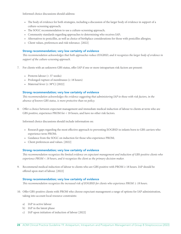Informed choice discussions should address:

- The body of evidence for both strategies, including a discussion of the larger body of evidence in support of a culture-screening approach;
- The SOGC recommendation to use a culture-screening approach;
- Community standards regarding approaches to determining who receives IAP;
- Alternatives to penicillin, as well as choice of birthplace considerations for those with penicillin allergies;
- Client values, preferences and risk tolerance. [2022]

### Strong recommendation; very low certainty of evidence

*This recommendation acknowledges that both approaches reduce EOGBSD, and it recognizes the larger body of evidence in support of the culture-screening approach.* 

- 7. For clients with an unknown GBS status, offer IAP if one or more intrapartum risk factors are present:
	- Preterm labour (< 37 weeks)
	- Prolonged rupture of membranes ( $\geq 18$  hours)
	- Maternal fever  $(\geq 38^{\circ} \text{C})$  [2022]

### Strong recommendation; very low certainty of evidence

*This recommendation acknowledges the evidence suggesting that administering IAP to those with risk factors, in the absence of known GBS status, is more protective than no policy.*

8. Offer a choice between expectant management and immediate medical induction of labour to clients at term who are GBS positive, experience PROM for < 18 hours, and have no other risk factors.

Informed choice discussions should include information on:

- Research gaps regarding the most effective approach to preventing EOGBSD in infants born to GBS carriers who experience term PROM;
- Guidance from the SOGC on induction for those who experience PROM;
- Client preferences and values. [2022]

### Strong recommendation; very low certainty of evidence

*This recommendation recognizes the limited evidence on expectant management and induction of GBS-positive clients who experience PROM < 18 hours, and it recognizes the client as the primary decision-maker.* 

9. Recommend medical induction of labour to clients who are GBS positive with PROM ≥ 18 hours. IAP should be offered upon start of labour. [2022]

### Strong recommendation; very low certainty of evidence

*This recommendation recognizes the increased risk of EOGBSD for clients who experience PROM ≥ 18 hours.*

- 10. Offer GBS-positive clients with PROM who choose expectant management a range of options for IAP administration, taking into account local resource constraints:
	- a) IAP in active labour
	- b) IAP in the latent phase
	- c) IAP upon initiation of induction of labour [2022]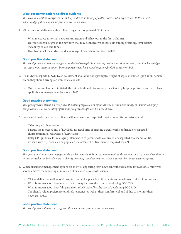### Weak recommendation; no direct evidence

*This recommendation recognizes the lack of evidence on timing of IAP for clients who experience PROM, as well as acknowledging the client as the primary decision-maker.* 

11. Midwives should discuss with all clients, regardless of prenatal GBS status:

- What to expect as normal newborn transition and behaviour in the first 24 hours;
- How to recognize signs in the newborn that may be indicative of sepsis (including breathing, temperature instability, colour and tone);
- How to contact the midwife and access urgent care when necessary. [2022]

### Good practice statement

*This good practice statement recognizes midwives' strengths in providing health education to clients, and it acknowledges that sepsis may occur in infants born to parents who have tested negative for GBS or received IAP.* 

- 12. If a midwife suspects EOGBSD, an assessment should be done promptly. If signs of sepsis are noted upon an in-person exam, they should arrange an immediate consult.
	- Once a consult has been initiated, the midwife should discuss with the client any hospital protocols and care plans applicable to management decisions. [2022]

### Good practice statement

*This good practice statement recognizes the rapid progression of sepsis, as well as midwives' ability to identify emerging complications and work interprofessionally to provide safe, excellent client care.* 

- 13. For asymptomatic newborns of clients with confirmed or suspected chorioamnionitis, midwives should:
	- Offer hospital observation;
	- Discuss the increased risk of EOGBSD for newborns of birthing parents with confirmed or suspected chorioamnionitis, regardless of IAP status;
	- Relay CPS guidance for managing infants born to parents with confirmed or suspected chorioamnionitis;
	- Consult with a pediatrician or physician if assessment or treatment is required. [2022]

### Good practice statement

*This good practice statement recognizes the evidence on the risks of chorioamnionitis to the neonate and the value of continuity of care, as well as midwives' ability to identify emerging complications and escalate care as the clinical picture requires.*

- 14. When discussing management options for the well-appearing term newborn with risk factors for EOGBSD, midwives should address the following in informed choice discussions with clients:
	- CPS guidelines, as well as local hospital protocol applicable to the client's and newborn's clinical circumstances;
	- What is known about how any risk factors may increase the risks of developing EOGBSD;
	- What is known about how full, partial or no IAP may affect the risk of developing EOGBSD;
	- The client's values, preferences and risk tolerance, as well as their comfort level and ability to monitor their newborn. [2022]

### Good practice statement

*This good practice statement recognizes the client as the primary decision-maker.*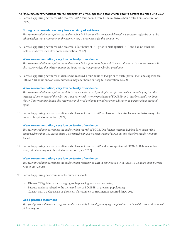### *The following recommendations refer to management of well-appearing term infants born to parents colonized with GBS:*

15. For well-appearing newborns who received  $IAP \geq$  four hours before birth, midwives should offer home observation. [2022]

### Strong recommendation; very low certainty of evidence

*This recommendation recognizes the evidence that IAP is most effective when delivered ≥ four hours before birth. It also acknowledges that observation in the home setting is appropriate for this population.* 

16. For well-appearing newborns who received < four hours of IAP prior to birth (partial IAP) and had no other risk factors, midwives may offer home observation. [2022]

### Weak recommendation; very low certainty of evidence

*This recommendation recognizes the evidence that IAP < four hours before birth may still reduce risks to the neonate. It also acknowledges that observation in the home setting is appropriate for this population.* 

17. For well-appearing newborns of clients who received < four hours of IAP prior to birth (partial IAP) and experienced  $PROM \geq 18$  hours and/or fever, midwives may offer home or hospital observation. [2022]

### Weak recommendation; very low certainty of evidence

*This recommendation recognizes the risks to the neonate posed by multiple risks factors, while acknowledging that the presence of one or more of these factors is not necessarily strongly predictive of EOGBSD and therefore should not limit choice. This recommendation also recognizes midwives' ability to provide relevant education to parents about neonatal sepsis.* 

18. For well-appearing newborns of clients who have not received IAP but have no other risk factors, midwives may offer home or hospital observation. [2022]

### Weak recommendation; very low certainty of evidence

*This recommendation recognizes the evidence that the risk of EOGBSD is highest when no IAP has been given, while* acknowledging that GBS status alone is associated with a low absolute risk of EOGBSD and therefore should not limit *choice.*

19. For well-appearing newborns of clients who have not received IAP and who experienced PROM ≥ 18 hours and/or fever, midwives may offer hospital observation. [new 2022]

### Weak recommendation; very low certainty of evidence

*This recommendation recognizes the evidence that receiving no IAP, in combination with PROM ≥ 18 hours, may increase risks to the neonate.*

- 20. For well-appearing near-term infants, midwives should:
	- Discuss CPS guidance for managing well-appearing near-term neonates;
	- Discuss evidence related to the increased risk of EOGBSD in preterm populations;
	- Consult with a pediatrician or physician if assessment or treatment is required. [new 2022]

### Good practice statement

*This good practice statement recognizes midwives' ability to identify emerging complications and escalate care as the clinical picture requires.*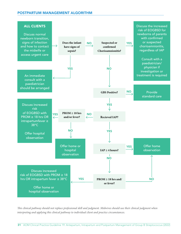# POSTPARTUM MANAGEMENT ALGORITHM



*This clinical pathway should not replace professional skill and judgment. Midwives should use their clinical judgment when interpreting and applying this clinical pathway to individual client and practice circumstances.*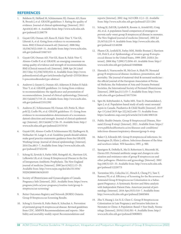# **REFERENCES**

- 1. Balshem H, Helfand M, Schünemann HJ, Oxman AD, Kunz R, Brozek J, et al. GRADE guidelines: 3. Rating the quality of evidence. Journal of clinical epidemiology [Internet]. 2011 Apr;64(4):401–6. Available from: http://www.ncbi.nlm.nih. gov/pubmed/21208779
- 2. Guyatt GH, Oxman AD, Kunz R, Falck-Ytter Y, Vist GE, Liberati A, et al. Going from evidence to recommendations. BMJ (Clinical research ed) [Internet]. 2008 May 10;336(7652):1049–51. Available from: http://www.ncbi.nlm. nih.gov/pubmed/18467413
- 3. Guyatt GH, Oxman AD, Vist GE, Kunz R, Falck-Ytter Y, Alonso-Coello P, et al. GRADE: an emerging consensus on rating quality of evidence and strength of recommendations. BMJ (Clinical research ed) [Internet]. 2008 Apr 26 [cited 2013 May 31];336(7650):924–6. Available from: http://www. pubmedcentral.nih.gov/articlerender.fcgi?artid=2335261&too l=pmcentrez&rendertype=abstract
- 4. Andrews J, Guyatt G, Oxman AD, Alderson P, Dahm P, Falck-Ytter Y, et al. GRADE guidelines: 14. Going from evidence to recommendations: the significance and presentation of recommendations. Journal of clinical epidemiology [Internet]. 2013 Jul;66(7):719–25. Available from: http://www.ncbi.nlm. nih.gov/pubmed/23312392
- 5. Andrews JC, Schünemann HJ, Oxman AD, Pottie K, Meerpohl JJ, Coello PA, et al. GRADE guidelines: 15. Going from evidence to recommendation-determinants of a recommendation's direction and strength. Journal of clinical epidemiology [Internet]. 2013 Jul;66(7):726–35. Available from: http:// www.ncbi.nlm.nih.gov/pubmed/23570745
- 6. Guyatt GH, Alonso-Coello P, Schünemann HJ, Djulbegovic B, Nothacker M, Lange S, et al. Guideline panels should seldom make good practice statements: guidance from the GRADE Working Group. Journal of clinical epidemiology [Internet]. 2016 Dec;80:3–7. Available from: http://www.ncbi.nlm.nih. gov/pubmed/27452192
- 7. Schrag SJ, Zywicki S, Farley MM, Reingold AL, Harrison LH, Lefkowitz LB, et al. Group B Streptococcal Disease in the Era of Intrapartum Antibiotic Prophylaxis. The New England journal of medicine [Internet]. 2000 Jan 6;342(1):15–20. Available from: http://www.nejm.org/doi/abs/10.1056/ NEJM200001063420103
- 8. Society of Obstetricians and Gynaecologists of Canada. Pregnancy Info [Internet]. 2021. Available from: https://www. pregnancyinfo.ca/your-pregnancy/routine-tests/group-bstreptococcus-screening/
- 9. Better Outcomes Registry and Network (BORN) Ontario. Group B Streptococcus Screening Results.
- 10. Schrag S, Gorwitz R, Fultz-Butts K, Schuchat A. Prevention of perinatal group B streptococcal disease. Revised guidelines from CDC. MMWR Recommendations and reports : Morbidity and mortality weekly report Recommendations and

reports [Internet]. 2002 Aug 16;51(RR-11):1–22. Available from: http://www.ncbi.nlm.nih.gov/pubmed/12211284

- 11. Schrag SJ, Zell ER, Lynfield R, Roome A, Arnold KE, Craig AS, et al. A population-based comparison of strategies to prevent early-onset group B streptococcal disease in neonates. The New England journal of medicine [Internet]. 2002 Jul 25;347(4):233–9. Available from: http://www.ncbi.nlm.nih. gov/pubmed/12140298
- 12. Phares CR, Lynfield R, Farley MM, Mohle-Boetani J, Harrison LH, Petit S, et al. Epidemiology of invasive group B streptococcal disease in the United States, 1999-2005. JAMA [Internet]. 2008 May 7;299(17):2056–65. Available from: http:// www.ncbi.nlm.nih.gov/pubmed/18460666
- 13. Hamada S, Vearncombe M, McGeer A, Shah PS. Neonatal group B streptococcal disease: incidence, presentation, and mortality. The journal of maternal-fetal & neonatal medicine : the official journal of the European Association of Perinatal Medicine, the Federation of Asia and Oceania Perinatal Societies, the International Society of Perinatal Obstetricians [Internet]. 2008 Jan;21(1):53–7. Available from: http://www. ncbi.nlm.nih.gov/pubmed/18175244
- 14. Sgro M, Kobylianskii A, Yudin MH, Tran D, Diamandakos J, Sgro J, et al. Population-based study of early-onset neonatal sepsis in Canada. Paediatrics & Child Health [Internet]. 2019 Apr 13 [cited 2019 Apr 22];24(2):e66–73. Available from: https://academic.oup.com/pch/article/24/2/e66/4983126
- 15. Public Health Ontario. Group B Streptococcal Disease, Neonatal (Group B strep) [Internet]. 2021. Available from: https:// www.publichealthontario.ca/en/diseases-and-conditions/ infectious-diseases/respiratory-diseases/group-b-strep
- 16. Baker CJ, Edwards MS. Group B streptococcal infections. In: Remington JS, Klein J, editors. Infectious diseases of the fetus and newborn infant. WB Saunders; 1995. p. 980.
- 17. Spaetgens R, DeBella K, Ma D, Robertson S, Mucenski M, Davies HD. Perinatal antibiotic usage and changes in colonization and resistance rates of group B streptococcus and other pathogens. Obstetrics and gynecology [Internet]. 2002 Sep;100(3):525–33. Available from: http://www.ncbi.nlm.nih. gov/pubmed/12220773
- 18. Turrentine MA, Colicchia LC, Hirsch E, Cheng P-J, Tam T, Ramsey PS, et al. Efficiency of Screening for the Recurrence of Antenatal Group B Streptococcus Colonization in a Subsequent Pregnancy: A Systematic Review and Meta-analysis with Independent Patient Data. American journal of perinatology [Internet]. 2016 Apr;33(5):510–7. Available from: http://www.ncbi.nlm.nih.gov/pubmed/26683604
- 19. Zhu Y, Huang J, Lin X-Z, Chen C. Group B Streptococcus Colonization in Late Pregnancy and Invasive Infection in Neonates in China: A Population-Based 3-Year Study. Neonatology [Internet]. 2019;115(4):301–9. Available from: http:// www.ncbi.nlm.nih.gov/pubmed/30808831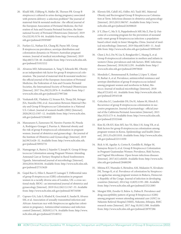- 20. Khalil MR, Uldbjerg N, Møller JK, Thorsen PB. Group B streptococci cultured in urine during pregnancy associated with preterm delivery: a selection problem? The journal of maternal-fetal & neonatal medicine : the official journal of the European Association of Perinatal Medicine, the Federation of Asia and Oceania Perinatal Societies, the International Society of Perinatal Obstetricians [Internet]. 2019 Oct;32(19):3176–84. Available from: http://www.ncbi.nlm. nih.gov/pubmed/29595087
- 21. Furfaro LL, Nathan EA, Chang BJ, Payne MS. Group B streptococcus prevalence, serotype distribution and colonization dynamics in Western Australian pregnant women. Journal of medical microbiology [Internet]. 2019 May;68(5):728–40. Available from: http://www.ncbi.nlm.nih. gov/pubmed/31013212
- 22. Alvareza MD, Subramaniam A, Tang Y, Edwards RK. Obesity as an independent risk factor for group B streptococcal colonization. The journal of maternal-fetal & neonatal medicine : the official journal of the European Association of Perinatal Medicine, the Federation of Asia and Oceania Perinatal Societies, the International Society of Perinatal Obstetricians [Internet]. 2017 Dec;30(23):2876–9. Available from: http:// www.ncbi.nlm.nih.gov/pubmed/27997266
- 23. Venkatesh KK, Vladutiu CJ, Strauss RA, Thorp JM, Stringer JSA, Stamilio DM, et al. Association Between Maternal Obesity and Group B Streptococcus Colonization in a National U.S. Cohort. Journal of women's health (2002) [Internet]. 2020;29(12):1507–12. Available from: http://www.ncbi.nlm. nih.gov/pubmed/32364822
- 24. Manzanares S, Zamorano M, Naveiro-Fuentes M, Pineda A, Rodríguez-Granger J, Puertas A. Maternal obesity and the risk of group B streptococcal colonisation in pregnant women. Journal of obstetrics and gynaecology : the journal of the Institute of Obstetrics and Gynaecology [Internet]. 2019 Jul;39(5):628–32. Available from: http://www.ncbi.nlm.nih. gov/pubmed/30932731
- 25. Namugongo A, Bazira J, Fajardot Y, Joseph N. Group B Streptococcus Colonization among Pregnant Women Attending Antenatal Care at Tertiary Hospital in Rural Southwestern Uganda. International journal of microbiology [Internet]. 2016;2016:3816184. Available from: http://www.ncbi.nlm.nih. gov/pubmed/27313620
- 26. Gopal Rao G, Hiles S, Bassett P, Lamagni T. Differential rates of group B streptococcus (GBS) colonisation in pregnant women in a racially diverse area of London, UK: a cross-sectional study. BJOG : an international journal of obstetrics and gynaecology [Internet]. 2019 Oct;126(11):1347–53. Available from: http://www.ncbi.nlm.nih.gov/pubmed/30734508
- 27. Capraro GA, Lala S, Khaled K, Gosciniak E, Saadat B, Alvarez SM, et al. Association of sexually-transmitted infection and African-American race with Streptococcus agalactiae colonization in pregnancy. Antimicrobial resistance and infection control [Internet]. 2020;9(1):174. Available from: http://www. ncbi.nlm.nih.gov/pubmed/33148312
- 28. Kleweis SM, Cahill AG, Odibo AO, Tuuli MG. Maternal Obesity and Rectovaginal Group B Streptococcus Colonization at Term. Infectious diseases in obstetrics and gynecology [Internet]. 2015;2015:586767. Available from: http://www. ncbi.nlm.nih.gov/pubmed/26300620
- 29. Ji Y, Zhao C, Ma X-X, Peppelenbosch MP, Ma Z, Pan Q. Outcome of a screening program for the prevention of neonatal early-onset group B Streptococcus infection: a populationbased cohort study in Inner Mongolia, China. Journal of medical microbiology [Internet]. 2019 May;68(5):803–11. Available from: http://www.ncbi.nlm.nih.gov/pubmed/30994439
- 30. Chen J, Fu J, Du W, Liu X, Rongkavilit C, Huang X, et al. Group B streptococcal colonization in mothers and infants in western China: prevalences and risk factors. BMC infectious diseases [Internet]. 2018;18(1):291. Available from: http:// www.ncbi.nlm.nih.gov/pubmed/29970020
- 31. Moraleda C, Benmessaoud R, Esteban J, López Y, Alami H, Barkat A, et al. Prevalence, antimicrobial resistance and serotype distribution of group B streptococcus isolated among pregnant women and newborns in Rabat, Morocco. Journal of medical microbiology [Internet]. 2018 May;67(5):652–61. Available from: http://www.ncbi.nlm.nih. gov/pubmed/29543148
- 32. Colicchia LC, Lauderdale DS, Du H, Adams M, Hirsch E. Recurrence of group B streptococcus colonization in successive pregnancies. Journal of perinatology : official journal of the California Perinatal Association [Internet]. 2015 Mar;35(3):173–6. Available from: http://www.ncbi.nlm.nih. gov/pubmed/25321646
- 33. Kim EJ, Oh KY, Kim MY, Seo YS, Shin J-H, Song YR, et al. Risk factors for group B streptococcus colonization among pregnant women in Korea. Epidemiology and health [Internet]. 2011;33:e2011010. Available from: http://www.ncbi.nlm. nih.gov/pubmed/22111030
- 34. Rick A-M, Aguilar A, Cortes R, Gordillo R, Melgar M, Samayoa-Reyes G, et al. Group B Streptococci Colonization in Pregnant Guatemalan Women: Prevalence, Risk Factors, and Vaginal Microbiome. Open forum infectious diseases [Internet]. 2017;4(1):ofx020. Available from: http://www.ncbi. nlm.nih.gov/pubmed/28480290
- 35. Mitima KT, Ntamako S, Birindwa AM, Mukanire N, Kivukuto JM, Tsongo K, et al. Prevalence of colonization by Streptococcus agalactiae among pregnant women in Bukavu, Democratic Republic of the Congo. Journal of infection in developing countries [Internet]. 2014 Sep 12;8(9):1195–200. Available from: http://www.ncbi.nlm.nih.gov/pubmed/25212085
- 36. Mengist HM, Zewdie O, Belew A, Dabsu R. Prevalence and drug susceptibility pattern of group B Streptococci (GBS) among pregnant women attending antenatal care (ANC) in Nekemte Referral Hospital (NRH), Nekemte, Ethiopia. BMC research notes [Internet]. 2017 Aug 10;10(1):388. Available from: http://www.ncbi.nlm.nih.gov/pubmed/28797286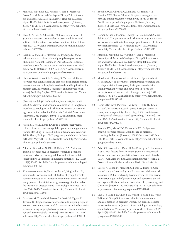- 37. Madrid L, Maculuve SA, Vilajeliu A, Sáez E, Massora S, Cossa A, et al. Maternal Carriage of Group B Streptococcus and Escherichia coli in a District Hospital in Mozambique. The Pediatric infectious disease journal [Internet]. 2018;37(11):1145–53. Available from: http://www.ncbi.nlm. nih.gov/pubmed/30312265
- 38. Khan MA, Faiz A, Ashshi AM. Maternal colonization of group B streptococcus: prevalence, associated factors and antimicrobial resistance. Annals of Saudi medicine [Internet]. 35(6):423–7. Available from: http://www.ncbi.nlm.nih.gov/ pubmed/26657224
- 39. Joachim A, Matee MI, Massawe FA, Lyamuya EF. Maternal and neonatal colonisation of group B streptococcus at Muhimbili National Hospital in Dar es Salaam, Tanzania: prevalence, risk factors and antimicrobial resistance. BMC public health [Internet]. 2009 Dec 1;9:437. Available from: http://www.ncbi.nlm.nih.gov/pubmed/19948075
- 40. Chen Z, Wen G, Cao X, Li S, Wang X, Yao Z, et al. Group B streptococcus colonisation and associated risk factors among pregnant women: A hospital-based study and implications for primary care. International journal of clinical practice [Internet]. 2019 May;73(5):e13276. Available from: http://www. ncbi.nlm.nih.gov/pubmed/30273994
- 41. Chan GJ, Modak JK, Mahmud AA, Baqui AH, Black RE, Saha SK. Maternal and neonatal colonization in Bangladesh: prevalences, etiologies and risk factors. Journal of perinatology : official journal of the California Perinatal Association [Internet]. 2013 Dec;33(12):971–6. Available from: http:// www.ncbi.nlm.nih.gov/pubmed/23989196
- 42. Assefa S, Desta K, Lema T. Group B streptococci vaginal colonization and drug susceptibility pattern among pregnant women attending in selected public antenatal care centers in Addis Ababa, Ethiopia. BMC pregnancy and childbirth [Internet]. 2018 May 4;18(1):135. Available from: http://www.ncbi. nlm.nih.gov/pubmed/29728084
- 43. Alfouzan W, Gaddar N, Dhar R, Rabaan AA. A study of group B streptococcus in pregnant women in Lebanon: prevalence, risk factors, vaginal flora and antimicrobial susceptibility. Le infezioni in medicina [Internet]. 2021 Mar 1;29(1):85–93. Available from: http://www.ncbi.nlm.nih.gov/ pubmed/33664177
- 44. Akkaneesermsaeng W, Petpichetchian C, Yingkachorn M, Sasithorn S. Prevalence and risk factors of group B Streptococcus colonisation in intrapartum women: a cross-sectional study. Journal of obstetrics and gynaecology : the journal of the Institute of Obstetrics and Gynaecology [Internet]. 2019 Nov;39(8):1093–7. Available from: http://www.ncbi.nlm.nih. gov/pubmed/31195907
- 45. Gizachew M, Tiruneh M, Moges F, Adefris M, Tigabu Z, Tessema B. Streptococcus agalactiae from Ethiopian pregnant women; prevalence, associated factors and antimicrobial resistance: alarming for prophylaxis. Annals of clinical microbiology and antimicrobials [Internet]. 2019 Jan 19;18(1):3. Available from: http://www.ncbi.nlm.nih.gov/pubmed/30660188
- 46. Botelho ACN, Oliveira JG, Damasco AP, Santos KTB, Ferreira AFM, Rocha GT, et al. Streptococcus agalactiae carriage among pregnant women living in Rio de Janeiro, Brazil, over a period of eight years. PloS one [Internet]. 2018;13(5):e0196925. Available from: http://www.ncbi.nlm. nih.gov/pubmed/29750801
- 47. Darabi R, Tadi S, Mohit M, Sadeghi E, Hatamizadeh G, Kardeh B, et al. The prevalence and risk factors of group B streptococcus colonization in Iranian pregnant women. Electronic physician [Internet]. 2017 May;9(5):4399–404. Available from: http://www.ncbi.nlm.nih.gov/pubmed/28713513
- 48. Madrid L, Maculuve SA, Vilajeliu A, Sáez E, Massora S, Cossa A, et al. Maternal Carriage of Group B Streptococcus and Escherichia coli in a District Hospital in Mozambique. The Pediatric infectious disease journal [Internet]. 2018;37(11):1145–53. Available from: http://www.ncbi.nlm. nih.gov/pubmed/30312265
- 49. Moraleda C, Benmessaoud R, Esteban J, López Y, Alami H, Barkat A, et al. Prevalence, antimicrobial resistance and serotype distribution of group B streptococcus isolated among pregnant women and newborns in Rabat, Morocco. Journal of medical microbiology [Internet]. 2018 May;67(5):652–61. Available from: http://www.ncbi.nlm.nih. gov/pubmed/29543148
- 50. Daniels JP, Gray J, Pattison HM, Gray R, Hills RK, Khan KS, et al. Intrapartum tests for group B streptococcus: accuracy and acceptability of screening. BJOG : an international journal of obstetrics and gynaecology [Internet]. 2011 Jan;118(2):257–65. Available from: http://www.ncbi.nlm.nih. gov/pubmed/21040389
- 51. Puopolo KM, Madoff LC, Eichenwald EC. Early-onset group B streptococcal disease in the era of maternal screening. Pediatrics [Internet]. 2005 May [cited 2013 Sep 12];115(5):1240–6. Available from: http://www.ncbi.nlm.nih. gov/pubmed/15867030
- 52. Adair CE, Kowalsky L, Quon H, Ma D, Mcgeer A, Robertson S, et al. Risk factors for early-onset group B streptococcal disease in neonates: a population-based case control study. CMAJ : Canadian Medical Association journal = journal de l'Association medicale canadienne. 2003;169(3):198–204.
- 53. Carroll A, Eogan M, Monteith C, Foran A, Drew RJ. Casecontrol study of neonatal group B streptococcal disease risk factors in a Dublin maternity hospital over a 13-year period. International journal of gynaecology and obstetrics: the official organ of the International Federation of Gynaecology and Obstetrics [Internet]. 2016 Oct;135(1):117–8. Available from: http://www.ncbi.nlm.nih.gov/pubmed/27392804
- 54. Cho C-Y, Tang Y-H, Chen Y-H, Wang S-Y, Yang Y-H, Wang T-H, et al. Group B Streptococcal infection in neonates and colonization in pregnant women: An epidemiological retrospective analysis. Journal of microbiology, immunology, and infection = Wei mian yu gan ran za zhi [Internet]. 2019 Apr;52(2):265–72. Available from: http://www.ncbi.nlm.nih. gov/pubmed/28882582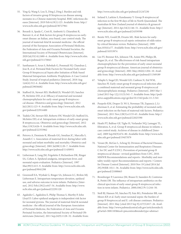- 55. Ying Q, Wang S, Lou X, Ding J, Ding J. Burden and risk factors of invasive group B Streptococcus disease among neonates in a Chinese maternity hospital. BMC infectious diseases [Internet]. 2019 Feb 6;19(1):123. Available from: http:// www.ncbi.nlm.nih.gov/pubmed/30727961
- 56. Berardi A, Spada C, Creti R, Ambretti S, Chiarabini R, Barozzi A, et al. Risk factors for group B streptococcus earlyonset disease: an Italian, area-based, case-control study. The journal of maternal-fetal & neonatal medicine : the official journal of the European Association of Perinatal Medicine, the Federation of Asia and Oceania Perinatal Societies, the International Society of Perinatal Obstetricians [Internet]. 2020 Jul;33(14):2480–6. Available from: http://www.ncbi.nlm. nih.gov/pubmed/31170843
- 57. Santhanam S, Arun S, Rebekah G, Ponmudi NJ, Chandran J, Jose R, et al. Perinatal Risk Factors for Neonatal Early-onset Group B Streptococcal Sepsis after Initiation of Risk-based Maternal Intrapartum Antibiotic Prophylaxis-A Case Control Study. Journal of tropical pediatrics [Internet]. 2018 Aug 1;64(4):312–6. Available from: http://www.ncbi.nlm.nih.gov/ pubmed/29036682
- 58. Stafford IA, Stewart RD, Sheffield JS, Wendel GD, Sanchez PJ, McIntire DD, et al. Efficacy of maternal and neonatal chemoprophylaxis for early-onset group B streptococcal disease. Obstetrics and gynecology [Internet]. 2012 Jul;120(1):123–9. Available from: http://www.ncbi.nlm.nih. gov/pubmed/22914400
- 59. Tudela CM, Stewart RD, Roberts SW, Wendel GD, Stafford IA, McIntire DD, et al. Intrapartum evidence of early-onset group B streptococcus. Obstetrics and gynecology [Internet]. 2012 Mar;119(3):626–9. Available from: http://www.ncbi.nlm.nih. gov/pubmed/22353962
- 60. Petrova A, Demissie K, Rhoads GG, Smulian JC, Marcella S, Ananth C v. Association of maternal fever during labor with neonatal and infant morbidity and mortality. Obstetrics and gynecology [Internet]. 2001 Jul;98(1):20–7. Available from: http://www.ncbi.nlm.nih.gov/pubmed/11430951
- 61. Lieberman E, Lang JM, Frigoletto F, Richardson DK, Ringer SA, Cohen A. Epidural analgesia, intrapartum fever, and neonatal sepsis evaluation. Pediatrics [Internet]. 1997 Mar;99(3):415–9. Available from: http://www.ncbi.nlm.nih. gov/pubmed/9041298
- 62. Greenwell EA, Wyshak G, Ringer SA, Johnson LC, Rivkin MJ, Lieberman E. Intrapartum temperature elevation, epidural use, and adverse outcome in term infants. Pediatrics [Internet]. 2012 Feb;129(2):e447-54. Available from: http://www. ncbi.nlm.nih.gov/pubmed/22291120
- 63. Agakidis C, Agakidou E, Philip Thomas S, Murthy P, John Lloyd D. Labor epidural analgesia is independent risk factor for neonatal pyrexia. The journal of maternal-fetal & neonatal medicine : the official journal of the European Association of Perinatal Medicine, the Federation of Asia and Oceania Perinatal Societies, the International Society of Perinatal Obstetricians [Internet]. 2011 Sep;24(9):1128–32. Available from:

http://www.ncbi.nlm.nih.gov/pubmed/21247230

- 64. Ireland S, Larkins S, Kandasamy Y. Group B streptococcal infection in the first 90 days of life in North Queensland. The Australian & New Zealand journal of obstetrics & gynaecology [Internet]. 2014 Apr;54(2):146–51. Available from: http:// www.ncbi.nlm.nih.gov/pubmed/24359598
- 65. Benitz WE, Gould JB, Druzin ML. Risk factors for earlyonset group B streptococcal sepsis: estimation of odds ratios by critical literature review. Pediatrics [Internet]. 1999 Jun;103(6):e77. Available from: http://www.ncbi.nlm.nih.gov/ pubmed/10353974
- 66. Lin FY, Brenner RA, Johnson YR, Azimi PH, Philips JB, Regan JA, et al. The effectiveness of risk-based intrapartum chemoprophylaxis for the prevention of early-onset neonatal group B streptococcal disease. American journal of obstetrics and gynecology [Internet]. 2001 May;184(6):1204–10. Available from: http://www.ncbi.nlm.nih.gov/pubmed/11349189
- 67. Velaphi S, Siegel JD, Wendel GD, Cushion N, Eid WM, Sánchez PJ. Early-onset group B streptococcal infection after a combined maternal and neonatal group B streptococcal chemoprophylaxis strategy. Pediatrics [Internet]. 2003 Mar 1 [cited 2013 Sep 12];111(3):541–7. Available from: http://pediatrics.aappublications.org/cgi/doi/10.1542/peds.111.3.541
- 68. Puopolo KM, Draper D, Wi S, Newman TB, Zupancic J, Lieberman E, et al. Estimating the probability of neonatal earlyonset infection on the basis of maternal risk factors. Pediatrics [Internet]. 2011 Nov;128(5):e1155-63. Available from: http:// www.ncbi.nlm.nih.gov/pubmed/22025590
- 69. Heath PT, Balfour GF, Tighe H, Verlander NQ, Lamagni TL, Efstratiou A, et al. Group B streptococcal disease in infants: a case control study. Archives of disease in childhood [Internet]. 2009 Sep;94(9):674–80. Available from: http://www.ncbi. nlm.nih.gov/pubmed/19457879
- 70. Verani JR, McGee L, Schrag SJ, Division of Bacterial Diseases, National Center for Immunization and Respiratory Diseases C for DC and P (CDC). Prevention of perinatal group B streptococcal disease--revised guidelines from CDC, 2010. MMWR Recommendations and reports : Morbidity and mortality weekly report Recommendations and reports / Centers for Disease Control [Internet]. 2010 Nov 19 [cited 2014 Jul 29];59(RR-10):1–36. Available from: http://www.ncbi.nlm.nih. gov/pubmed/21088663
- 71. Bromberger P, Lawrence JM, Braun D, Saunders B, Contreras R, Petitti DB. The influence of intrapartum antibiotics on the clinical spectrum of early-onset group B streptococcal infection in term infants. Pediatrics. 2000;106(2 Pt 1):244–50.
- 72. Stoll BJ, Hansen NI, Sánchez PJ, Faix RG, Poindexter BB, van Meurs KP, et al. Early onset neonatal sepsis: the burden of group B Streptococcal and E. coli disease continues. Pediatrics [Internet]. 2011 May [cited 2013 Sep 9];127(5):817–26. Available from: http://www.pubmedcentral.nih.gov/articlerender.fc gi?artid=3081183&tool=pmcentrez&rendertype=abstract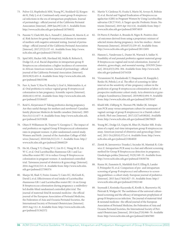- 73. Pulver LS, Hopfenbeck MM, Young PC, Stoddard GJ, Korgenski K, Daly J, et al. Continued early onset group B streptococcal infections in the era of intrapartum prophylaxis. Journal of perinatology : official journal of the California Perinatal Association [Internet]. 2009 Jan;29(1):20–5. Available from: http://www.ncbi.nlm.nih.gov/pubmed/18704032
- 74. Parente V, Clark RH, Ku L, Fennell C, Johnson M, Morris E, et al. Risk factors for group B streptococcal disease in neonates of mothers with negative antenatal testing. Journal of perinatology : official journal of the California Perinatal Association [Internet]. 2017;37(2):157–61. Available from: http://www. ncbi.nlm.nih.gov/pubmed/27853322
- 75. Spiel MH, Hacker MR, Haviland MJ, Mulla B, Roberts E, Dodge LE, et al. Racial disparities in intrapartum group B Streptococcus colonization: a higher incidence of conversion in African American women. Journal of perinatology : official journal of the California Perinatal Association [Internet]. 2019;39(3):433–8. Available from: http://www.ncbi.nlm.nih. gov/pubmed/30635596
- 76. Farr A, Sustr V, Kiss H, Rosicky I, Graf A, Makristathis A, et al. Oral probiotics to reduce vaginal group B streptococcal colonization in late pregnancy. Scientific reports [Internet]. 2020;10(1):19745. Available from: http://www.ncbi.nlm.nih. gov/pubmed/33184437
- 77. Reid G, Kirjaivanen P. Taking probiotics during pregnancy. Are they useful therapy for mothers and newborns? Canadian family physician Medecin de famille canadien [Internet]. 2005 Nov;51(11):1477–9. Available from: http://www.ncbi.nlm.nih. gov/pubmed/16353828
- 78. Olsen P, Williamson M, Traynor V, Georgiou C. The impact of oral probiotics on vaginal Group B Streptococcal colonisation rates in pregnant women: A pilot randomised control study. Women and birth : journal of the Australian College of Midwives [Internet]. 2018 Feb;31(1):31–7. Available from: http:// www.ncbi.nlm.nih.gov/pubmed/28668229
- 79. Ho M, Chang Y-Y, Chang W-C, Lin H-C, Wang M-H, Lin W-C, et al. Oral Lactobacillus rhamnosus GR-1 and Lactobacillus reuteri RC-14 to reduce Group B Streptococcus colonization in pregnant women: A randomized controlled trial. Taiwanese journal of obstetrics & gynecology [Internet]. 2016 Aug;55(4):515–8. Available from: http://www.ncbi.nlm. nih.gov/pubmed/27590374
- 80. Sharpe M, Shah V, Freire-Lizama T, Cates EC, McGrath K, David I, et al. Effectiveness of oral intake of Lactobacillus rhamnosus GR-1 and Lactobacillus reuteri RC-14 on Group B Streptococcus colonization during pregnancy: a midwiferyled double-blind randomized controlled pilot trial. The journal of maternal-fetal & neonatal medicine : the official journal of the European Association of Perinatal Medicine, the Federation of Asia and Oceania Perinatal Societies, the International Society of Perinatal Obstetricians [Internet]. 2019 Aug 13;1–8. Available from: http://www.ncbi.nlm.nih. gov/pubmed/31362572
- 81. Martín V, Cárdenas N, Ocaña S, Marín M, Arroyo R, Beltrán D, et al. Rectal and Vaginal Eradication of Streptococcus agalactiae (GBS) in Pregnant Women by Using Lactobacillus salivarius CECT 9145, A Target-specific Probiotic Strain. Nutrients [Internet]. 2019 Apr 10;11(4). Available from: http:// www.ncbi.nlm.nih.gov/pubmed/30974819
- 82. Di Pierro F, Parolari A, Brundu B, Nigro R. Positive clinical outcomes derived from using a proprietary mixture of selected strains during pregnancy. Acta bio-medica : Atenei Parmensis [Internet]. 2016;87(3):259–65. Available from: http://www.ncbi.nlm.nih.gov/pubmed/28112691
- 83. Hanson L, Vandevusse L, Duster M, Warrack S, Safdar N. Feasibility of oral prenatal probiotics against maternal group B Streptococcus vaginal and rectal colonization. Journal of obstetric, gynecologic, and neonatal nursing : JOGNN [Internet]. 2014;43(3):294–304. Available from: http://www.ncbi. nlm.nih.gov/pubmed/24754328
- 84. Virranniemi M, Raudaskoski T, Haapsamo M, Kauppila J, Renko M, Peltola J, et al. The effect of screening-to-labor interval on the sensitivity of late-pregnancy culture in the prediction of group B streptococcus colonization at labor: A prospective multicenter cohort study. Acta obstetricia et gynecologica Scandinavica [Internet]. 2019;98(4):494–9. Available from: http://www.ncbi.nlm.nih.gov/pubmed/30578547
- 85. Khalil MR, Uldbjerg N, Thorsen PB, Møller JK. Intrapartum PCR assay versus antepartum culture for assessment of vaginal carriage of group B streptococci in a Danish cohort at birth. PloS one [Internet]. 2017;12(7):e0180262. Available from: http://www.ncbi.nlm.nih.gov/pubmed/28678829
- 86. Young BC, Dodge LE, Gupta M, Rhee JS, Hacker MR. Evaluation of a rapid, real-time intrapartum group B streptococcus assay. American journal of obstetrics and gynecology [Internet]. 2011 Oct;205(4):372.e1-6. Available from: http://www. ncbi.nlm.nih.gov/pubmed/21864820
- 87. Zietek M, Jaroszewicz-Trzaska J, Szczuko M, Mantiuk R, Celewicz Z. Intrapartum PCR assay is a fast and efficient screening method for Group B Streptococcus detection in pregnancy. Ginekologia polska [Internet]. 91(9):549–53. Available from: http://www.ncbi.nlm.nih.gov/pubmed/33030736
- 88. Kunze M, Zumstein K, Markfeld-Erol F, Elling R, Lander F, Prömpeler H, et al. Comparison of pre- and intrapartum screening of group B streptococci and adherence to screening guidelines: a cohort study. European journal of pediatrics [Internet]. 2015 Jun;174(6):827–35. Available from: http:// www.ncbi.nlm.nih.gov/pubmed/25922140
- 89. Szymusik I, Kosinska-Kaczynska K, Krolik A, Skurnowicz M, Pietrzak B, Wielgos M. The usefulness of the universal culturebased screening and the efficacy of intrapartum prophylaxis of group B Streptococcus infection. The journal of maternal-fetal & neonatal medicine : the official journal of the European Association of Perinatal Medicine, the Federation of Asia and Oceania Perinatal Societies, the International Society of Perinatal Obstetricians [Internet]. 2014 Jun;27(9):968–70. Available from: http://www.ncbi.nlm.nih.gov/pubmed/24047083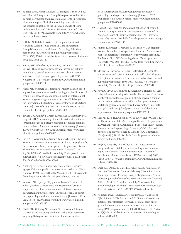- 90. de Tejada BM, Pfister RE, Renzi G, François P, Irion O, Boulvain M, et al. Intrapartum Group B streptococcus detection by rapid polymerase chain reaction assay for the prevention of neonatal sepsis. Clinical microbiology and infection : the official publication of the European Society of Clinical Microbiology and Infectious Diseases [Internet]. 2011 Dec;17(12):1786–91. Available from: http://www.ncbi.nlm. nih.gov/pubmed/20860701
- 91. el Helali N, Habibi F, Azria E, Giovangrandi Y, Autret F, Durand-Zaleski I, et al. Point-of-Care Intrapartum Group B Streptococcus Molecular Screening: Effectiveness and Costs. Obstetrics and gynecology [Internet]. 2019;133(2):276–81. Available from: http://www.ncbi.nlm.nih. gov/pubmed/30633130
- 92. Yancey MK, Schuchat A, Brown LK, Ventura VL, Markenson GR. The accuracy of late antenatal screening cultures in predicting genital group B streptococcal colonization at delivery. Obstetrics and gynecology [Internet]. 1996 Nov;88(5):811–5. Available from: http://www.ncbi.nlm.nih. gov/pubmed/8885919
- 93. Khalil MR, Uldbjerg N, Thorsen PB, Møller JK. Risk-based approach versus culture-based screening for identification of group B streptococci among women in labor. International journal of gynaecology and obstetrics: the official organ of the International Federation of Gynaecology and Obstetrics [Internet]. 2019 Feb;144(2):187–91. Available from: http:// www.ncbi.nlm.nih.gov/pubmed/28645088
- 94. Towers C v, Rumney PJ, Asrat T, Preslicka C, Ghamsary MG, Nageotte MP. The accuracy of late third-trimester antenatal screening for group B streptococcus in predicting colonization at delivery. American journal of perinatology [Internet]. 2010 Nov;27(10):785–90. Available from: http://www.ncbi. nlm.nih.gov/pubmed/20458663
- 95. Lin F-YC, Weisman LE, Azimi P, Young AE, Chang K, Cielo M, et al. Assessment of intrapartum antibiotic prophylaxis for the prevention of early-onset group B Streptococcal disease. The Pediatric infectious disease journal [Internet]. 2011 Sep;30(9):759–63. Available from: http://ovidsp.ovid.com/ ovidweb.cgi?T=JS&PAGE=reference&D=ovftl&NEWS=N& AN=00006454-201109000-00009
- 96. Akobeng AK. Understanding diagnostic tests 1: sensitivity, specificity and predictive values. Acta paediatrica (Oslo, Norway : 1992) [Internet]. 2007 Mar;96(3):338–41. Available from: http://www.ncbi.nlm.nih.gov/pubmed/17407452
- 97. Johansen NR, Kjærbye-Thygesen A, Jønsson S, Westh H, Nilas L, Rørbye C. Prevalence and treatment of group B streptococcus colonization based on risk factors versus intrapartum culture screening. European journal of obstetrics, gynecology, and reproductive biology [Internet]. 2019 Sep;240:178–81. Available from: http://www.ncbi.nlm.nih. gov/pubmed/31301553
- 98. Khalil MR, Uldbjerg N, Thorsen PB, Henriksen B, Møller JK. Risk-based screening combined with a PCR-based test for group B streptococci diminishes the use of antibiot-

ics in laboring women. European journal of obstetrics, gynecology, and reproductive biology [Internet]. 2017 Aug;215:188–92. Available from: http://www.ncbi.nlm.nih. gov/pubmed/28645088

- 99. Hicks P, Diaz-Perez MJ. Patient self-collection of group B streptococcal specimens during pregnancy. Journal of the American Board of Family Medicine : JABFM [Internet]. 2009;22(2):136–40. Available from: http://www.jabfm.org/cgi/ content/abstract/22/2/136
- 100. Molnar P, Biringer A, McGeer A, McIsaac W. Can pregnant women obtain their own specimens for group B streptococcus? A comparison of maternal versus physician screening. The Mount Sinai GBS Screening Group. Family practice [Internet]. 1997 Oct;14(5):403–6. Available from: http://www. ncbi.nlm.nih.gov/pubmed/9472376
- 101. Mercer BM, Taylor MC, Fricke JL, Baselski VS, Sibai BM. The accuracy and patient preference for self-collected group B Streptococcus cultures. American journal of obstetrics and gynecology [Internet]. 1995 Oct;173(4):1325–8. Available from: http://www.ncbi.nlm.nih.gov/pubmed/7485347
- 102. Arya A, Cryan B, O'Sullivan K, Greene R a, Higgins JR. Selfcollected versus health professional-collected genital swabs to identify the prevalence of group B streptococcus: a comparison of patient preference and efficacy. European journal of obstetrics, gynecology, and reproductive biology [Internet]. 2008 Jul [cited 2013 Jul 24];139(1):43–5. Available from: http://www.ncbi.nlm.nih.gov/pubmed/18255214
- 103. Seto MTY, Ko JKY, Cheung KW, To KKW, Hui PW, Lao TT, et al. The Accuracy of Self-Screening of Group B Streptococcus in Pregnant Women-A Randomized Crossover Study. Journal of obstetrics and gynaecology Canada : JOGC = Journal d'obstetrique et gynecologie du Canada : JOGC [Internet]. 2019 Jun;41(6):792–7. Available from: http://www.ncbi.nlm. nih.gov/pubmed/30393060
- 104. Ko JKY, Yung SSF, Seto MTY, Lee CP. A questionnaire study on the acceptability of self-sampling versus screening by clinicians for Group B Streptococcus. Journal of the Chinese Medical Association : JCMA [Internet]. 2016 Feb;79(2):83–7. Available from: http://www.ncbi.nlm.nih.gov/ pubmed/26384618
- 105. Sharpe M, Dennis K, Cates EC, Kehler S, McGrath K. Deconstructing Dissonance: Ontario Midwifery Clients Speak about Their Experiences of Testing Group B Streptococcus-Positive. Canadian Journal of Midwifery Research & Practice [Internet]. 2015;14(2):18–33. Available from: http://myaccess.library. utoronto.ca/login?url=http://search.ebscohost.com/login.aspx? direct=true&db=rzh&AN=122432303&site=ehost-live
- 106. Kolkman DGE, Fleuren MAH, Wouters MGAJ, de Groot CJM, Rijnders MEB. Barriers and facilitators related to the uptake of four strategies to prevent neonatal early-onset group B haemolytic streptococcus disease: a qualitative study. BMC pregnancy and childbirth [Internet]. 2017 May 9;17(1):139. Available from: http://www.ncbi.nlm.nih.gov/ pubmed/28486938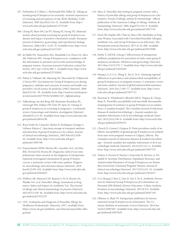- 107. Darbyshire P, Collins C, McDonald HM, Hiller JE. Taking antenatal group B Streptococcus seriously: women's experiences of screening and perceptions of risk. Birth (Berkeley, Calif) [Internet]. 2003 Jun;30(2):116–23. Available from: http:// www.ncbi.nlm.nih.gov/pubmed/12752169
- 108. Cheng PJ, Shaw SW, Lin PY, Huang SY, Soong YK. Maternal anxiety about prenatal screening for group B streptococcus disease and impact of positive colonization results. European journal of obstetrics, gynecology, and reproductive biology [Internet]. 2006;128(1–2):29–33. Available from: http://www. ncbi.nlm.nih.gov/pubmed/16513247
- 109. de Mello DS, Tsunechiro MA, Mendelski CA, Pierre SA, Silva AR, Padoveze MC. Group B Streptococcus: compliance with the information in prenatal card records and knowledge of pregnant women. American journal of infection control [Internet]. 2015 Apr 1;43(4):400–1. Available from: http://www. ncbi.nlm.nih.gov/pubmed/25702842
- 110. Patten S, Vollman AR, Manning SD, Mucenski M, Vidakovich J, Davies HD. Vaccination for Group B Streptococcus during pregnancy: attitudes and concerns of women and health care providers. Social science & medicine (1982) [Internet]. 2006 Jul;63(2):347–58. Available from: http://resolver.scholarsportal.info/resolve/02779536/v63i0002/347\_vfgbsdowahcp
- 111. Valkenburg-van den Berg AW, Houtman-Roelofsen RL, Oostvogel PM, Dekker FW, Dörr PJ, Sprij AJ. Timing of group B streptococcus screening in pregnancy: a systematic review. Gynecologic and obstetric investigation [Internet]. 2010;69(3):174–83. Available from: http://www.ncbi.nlm.nih. gov/pubmed/20016190
- 112. Rosa-Fraile M, Camacho-Muñoz E, Rodríguez-Granger J, Liébana-Martos C. Specimen storage in transport medium and detection of group B streptococci by culture. Journal of clinical microbiology [Internet]. 2005 Feb;43(2):928– 30. Available from: http://www.ncbi.nlm.nih.gov/ pubmed/15695709
- 113. Feuerschuette OHM, Silveira SK, Cancelier ACL, da Silva RM, Trevisol DJ, Pereira JR. Diagnostic yield of real-time polymerase chain reaction in the diagnosis of intrapartum maternal rectovaginal colonization by group B Streptococcus: a systematic review with meta-analysis. Diagnostic microbiology and infectious disease [Internet]. 2018 Jun;91(2):99–104. Available from: http://www.ncbi.nlm.nih. gov/pubmed/29454653
- 114. Wolfson AR, Mancini CM, Banerji A, Fu X, Bryant AS, Phadke NA, et al. Penicillin Allergy Assessment in Pregnancy: Safety and Impact on Antibiotic Use. The journal of allergy and clinical immunology In practice [Internet]. 2021;9(3):1338–46. Available from: http://www.ncbi.nlm.nih. gov/pubmed/33212237
- 115. CDC. Evaluation and Diagnosis of Penicillin Allergy for Healthcare Professionals. [Internet]. 2017. Available from: https://www.cdc.gov/antibiotic-use/clinicians/penicillin-allergy.html
- 116. Macy E. Penicillin skin testing in pregnant women with a history of penicillin allergy and group B streptococcus colonization. Annals of allergy, asthma & immunology : official publication of the American College of Allergy, Asthma, & Immunology [Internet]. 2006 Aug;97(2):164–8. Available from: http://www.ncbi.nlm.nih.gov/pubmed/16937745
- 117. Desai SH, Kaplan MS, Chen Q, Macy EM. Morbidity in Pregnant Women Associated with Unverified Penicillin Allergies, Antibiotic Use, and Group B Streptococcus Infections. The Permanente journal [Internet]. 2017;21:16–080. Available from: http://www.ncbi.nlm.nih.gov/pubmed/28333608
- 118. Fairlie T, Zell ER, Schrag S. Effectiveness of intrapartum antibiotic prophylaxis for prevention of early-onset group B streptococcal disease. Obstetrics and gynecology [Internet]. 2013 Mar;121(3):570–7. Available from: http://www.ncbi.nlm. nih.gov/pubmed/23635620
- 119. Huang J, Li S, Li L, Wang X, Yao Z, Ye X. Alarming regional differences in prevalence and antimicrobial susceptibility of group B streptococci in pregnant women: A systematic review and meta-analysis. Journal of global antimicrobial resistance [Internet]. 2016 Dec;7:169–77. Available from: http://www. ncbi.nlm.nih.gov/pubmed/27837713
- 120. Sherman K, Whitehead S, Blondel-Hill E, Wagner K, Cheeptham N. Penicillin susceptibility and macrolide-lincosamidestreptogramin B resistance in group B Streptococcus isolates from a Canadian hospital. The Canadian journal of infectious diseases & medical microbiology = Journal canadien des maladies infectieuses et de la microbiologie medicale [Internet]. 2012;23(4):196–8. Available from: http://www.ncbi.nlm. nih.gov/pubmed/24294274
- 121. Church D, Carson J, Gregson D. Point prevalence study of antibiotic susceptibility of genital group B streptococcus isolated from near-term pregnant women in Calgary, Alberta. The Canadian journal of infectious diseases & medical microbiology = Journal canadien des maladies infectieuses et de la microbiologie medicale [Internet]. 2012;23(3):121–4. Available from: http://www.ncbi.nlm.nih.gov/pubmed/23997778
- 122. Teatero S, Ferrieri P, Martin I, Demczuk W, McGeer A, Fittipaldi N. Serotype Distribution, Population Structure, and Antimicrobial Resistance of Group B Streptococcus Strains Recovered from Colonized Pregnant Women. Journal of clinical microbiology [Internet]. 2017;55(2):412–22. Available from: http://www.ncbi.nlm.nih.gov/pubmed/27852675
- 123. Li S, Huang J, Chen Z, Guo D, Yao Z, Ye X. Antibiotic Prevention for Maternal Group B Streptococcal Colonization on Neonatal GBS-Related Adverse Outcomes: A Meta-Analysis. Frontiers in microbiology [Internet]. 2017;8:374. Available from: http://www.ncbi.nlm.nih.gov/pubmed/28367139
- 124. Ohlsson A, Shah VS. Intrapartum antibiotics for known maternal Group B streptococcal colonization. The Cochrane database of systematic reviews [Internet]. 2014 Jun 10;(6):CD007467. Available from: http://www.ncbi.nlm.nih. gov/pubmed/24915629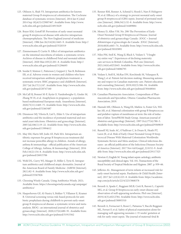- 125. Ohlsson A, Shah VS. Intrapartum antibiotics for known maternal Group B streptococcal colonization. The Cochrane database of systematic reviews [Internet]. 2014 Jan 8 [cited 2014 Sep 18];6(3):CD007467. Available from: http://www. ncbi.nlm.nih.gov/pubmed/24915629
- 126. Boyer KM, Gotoff SP. Prevention of early-onset neonatal group B streptococcal disease with selective intrapartum chemoprophylaxis. The New England journal of medicine [Internet]. 1986 Jun 26;314(26):1665–9. Available from: http:// www.ncbi.nlm.nih.gov/pubmed/3520319
- 127. Zimmermann P, Curtis N. Effect of intrapartum antibiotics on the intestinal microbiota of infants: a systematic review. Archives of disease in childhood Fetal and neonatal edition [Internet]. 2020 Mar;105(2):201–8. Available from: http:// www.ncbi.nlm.nih.gov/pubmed/31296695
- 128. Seedat F, Stinton C, Patterson J, Geppert J, Tan B, Robinson ER, et al. Adverse events in women and children who have received intrapartum antibiotic prophylaxis treatment: a systematic review. BMC pregnancy and childbirth [Internet]. 2017 Jul 26;17(1):247. Available from: http://www.ncbi.nlm. nih.gov/pubmed/28747160
- 129. McCall SJ, Bonnet M-P, Äyräs O, Vandenberghe G, Gissler M, Zhang W-H, et al. Anaphylaxis in pregnancy: a populationbased multinational European study. Anaesthesia [Internet]. 2020;75(11):1469–75. Available from: http://www.ncbi.nlm. nih.gov/pubmed/32463487
- 130. Dinsmoor MJ, Viloria R, Lief L, Elder S. Use of intrapartum antibiotics and the incidence of postnatal maternal and neonatal yeast infections. Obstetrics and gynecology [Internet]. 2005 Jul;106(1):19–22. Available from: http://www.ncbi.nlm. nih.gov/pubmed/15994612
- 131. May SM, Hartz MF, Joshi AY, Park MA. Intrapartum antibiotic exposure for group B Streptococcus treatment did not increase penicillin allergy in children. Annals of allergy, asthma & immunology : official publication of the American College of Allergy, Asthma, & Immunology [Internet]. 2016 Feb;116(2):134–8. Available from: http://www.ncbi.nlm.nih. gov/pubmed/26815706
- 132. Wohl DL, Curry WJ, Mauger D, Miller J, Tyrie K. Intrapartum antibiotics and childhood atopic dermatitis. Journal of the American Board of Family Medicine : JABFM [Internet]. 28(1):82–9. Available from: http://www.ncbi.nlm.nih.gov/ pubmed/25567826
- 133. Choosing Wisely Canada. Using Antibiotics Wisely. 2021; Available from: https://choosingwiselycanada.org/campaign/ antibiotics/
- 134. Hasperhoven GF, Al-Nasiry S, Bekker V, Villamor E, Kramer B. Universal screening versus risk-based protocols for antibiotic prophylaxis during childbirth to prevent early-onset group B streptococcal disease: a systematic review and metaanalysis. BJOG : an international journal of obstetrics and gynaecology [Internet]. 2020;127(6):680–91. Available from: http://www.ncbi.nlm.nih.gov/pubmed/31913562
- 135. Renner RM, Renner A, Schmid S, Hoesli I, Nars P, Holzgreve W, et al. Efficacy of a strategy to prevent neonatal early-onset group B streptococcal (GBS) sepsis. Journal of perinatal medicine [Internet]. 2006;34(1):32–8. Available from: http://www. ncbi.nlm.nih.gov/pubmed/16489884
- 136. Money D, Allen VM. No. 298-The Prevention of Early-Onset Neonatal Group B Streptococcal Disease. Journal of obstetrics and gynaecology Canada : JOGC = Journal d'obstetrique et gynecologie du Canada : JOGC [Internet]. 2018;40(8):e665–74. Available from: http://www.ncbi.nlm.nih. gov/pubmed/30103891
- 137. Niles PM, Stoll K, Wang JJ, Black S, Vedam S. "I fought my entire way": Experiences of declining maternity care services in British Columbia. PloS one [Internet]. 2021;16(6):e0252645. Available from: http://www.ncbi.nlm. nih.gov/pubmed/34086795
- 138. Vedam S, Stoll K, McRae DN, Korchinski M, Velasquez R, Wang J, et al. Patient-led decision making: Measuring autonomy and respect in Canadian maternity care. Patient education and counseling [Internet]. 2019;102(3):586–94. Available from: http://www.ncbi.nlm.nih.gov/pubmed/30448044
- 139. Canadian Pharmacists Association. Compendium of Pharmaceuticals and Specialties. Ottawa: Canadian Pharmacists Association; 2019.
- 140. Hannah ME, Ohlsson A, Wang EE, Matlow A, Foster GA, Willan AR, et al. Maternal colonization with group B Streptococcus and prelabor rupture of membranes at term: the role of induction of labor. TermPROM Study Group. American journal of obstetrics and gynecology [Internet]. 1997 Oct;177(4):780–5. Available from: http://www.ncbi.nlm.nih.gov/pubmed/9369819
- 141. Russell NJ, Seale AC, O'Sullivan C, le Doare K, Heath PT, Lawn JE, et al. Risk of Early-Onset Neonatal Group B Streptococcal Disease With Maternal Colonization Worldwide: Systematic Review and Meta-analyses. Clinical infectious diseases : an official publication of the Infectious Diseases Society of America [Internet]. 2017 Nov 6;65(suppl\_2):S152–9. Available from: http://www.ncbi.nlm.nih.gov/pubmed/29117325
- 142. Newton O, English M. Young infant sepsis: aetiology, antibiotic susceptibility and clinical signs. Vol. 101, Transactions of the Royal Society of Tropical Medicine and Hygiene. 2007. p. 959–66.
- 143. Jefferies AL. Management of term infants at increased risk for early-onset bacterial sepsis. Paediatrics & Child Health [Internet]. 2017 Jul 1;22(4):223–8. Available from: https://academic. oup.com/pch/article/22/4/223/3868378
- 144. Berardi A, Spada C, Reggiani MLB, Creti R, Baroni L, Capretti MG, et al. Group B Streptococcus early-onset disease and observation of well-appearing newborns. PloS one [Internet]. 2019;14(3):e0212784. Available from: http://www.ncbi.nlm. nih.gov/pubmed/30893310
- 145. Berardi A, Fornaciari S, Rossi C, Patianna V, Bacchi Reggiani ML, Ferrari F, et al. Safety of physical examination alone for managing well-appearing neonates ≥ 35 weeks' gestation at risk for early-onset sepsis. The journal of maternal-fetal &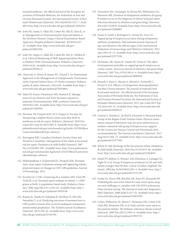neonatal medicine : the official journal of the European Association of Perinatal Medicine, the Federation of Asia and Oceania Perinatal Societies, the International Society of Perinatal Obstetricians [Internet]. 2015 Jul;28(10):1123–7. Available from: http://www.ncbi.nlm.nih.gov/pubmed/25034325

- 146. Joshi NS, Gupta A, Allan JM, Cohen RS, Aby JL, Kim JL, et al. Management of Chorioamnionitis-Exposed Infants in the Newborn Nursery Using a Clinical Examination-Based Approach. Hospital pediatrics [Internet]. 2019;9(4):227– 33. Available from: http://www.ncbi.nlm.nih.gov/ pubmed/30833294
- 147. Joshi NS, Gupta A, Allan JM, Cohen RS, Aby JL, Weldon B, et al. Clinical Monitoring of Well-Appearing Infants Born to Mothers With Chorioamnionitis. Pediatrics [Internet]. 2018;141(4). Available from: http://www.ncbi.nlm.nih.gov/ pubmed/29599112
- 148. Chiruvolu A, Petrey B, Stanzo KC, Daoud Y. An Institutional Approach to the Management of Asymptomatic Chorioamnionitis-Exposed Infants Born ≥35 Weeks Gestation. Pediatric quality & safety [Internet]. 4(6):e238. Available from: http:// www.ncbi.nlm.nih.gov/pubmed/32010864
- 149. Sahni M, Franco-Fuenmayor ME, Shattuck K. Management of Late Preterm and Term Neonates exposed to maternal Chorioamnionitis. BMC pediatrics [Internet]. 2019;19(1):282. Available from: http://www.ncbi.nlm.nih.gov/ pubmed/31409304
- 150. Newman TB, Puopolo KM, Wi S, Draper D, Escobar GJ. Interpreting complete blood counts soon after birth in newborns at risk for sepsis. Pediatrics [Internet]. 2010 Nov [cited 2013 Sep 9];126(5):903–9. Available from: http://www. pubmedcentral.nih.gov/articlerender.fcgi?artid=3197862&too l=pmcentrez&rendertype=abstract
- 151. Barrington KJK, Canadian Paediatric Society, Fetus and Newborn Committee. Management of the infant at increased risk for sepsis. Paediatrics & child health [Internet]. 2007 Dec;12(10):893–905. Available from: http://www.pubmedcentral.nih.gov/articlerender.fcgi?artid=2532578&tool=pmcentre z&rendertype=abstract
- 152. Mukhopadhyay S, Eichenwald EC, Puopolo KM. Neonatal early-onset sepsis evaluations among well-appearing infants: projected impact of changes in CDC GBS guidelines. Journal of Perinatology. 2012.
- 153. Escobar GJ, Li DK, Armstrong M a, Gardner MN, Folck BF, Verdi JE, et al. Neonatal sepsis workups in infants >/=2000 grams at birth: A population-based study. Pediatrics [Internet]. 2000 Aug;106(2 Pt 1):256–63. Available from: http:// www.ncbi.nlm.nih.gov/pubmed/10920148
- 154. Kojima K, Tanaka R, Nakajima K, Kurihara N, Oba MS, Yamashita Y, et al. Predicting outcomes of neonates born to GBS-positive women who received inadequate intrapartum antimicrobial prophylaxis. The Turkish journal of pediatrics [Internet]. 56(3):238–42. Available from: http://www.ncbi. nlm.nih.gov/pubmed/25341594
- 155. Turrentine MA, Greisinger AJ, Brown KS, Wehmanen OA, Mouzoon ME. Duration of intrapartum antibiotics for group B streptococcus on the diagnosis of clinical neonatal sepsis. Infectious diseases in obstetrics and gynecology [Internet]. 2013;2013:525878. Available from: http://www.ncbi.nlm.nih. gov/pubmed/23606801
- 156. Scasso S, Laufer J, Rodriguez G, Alonso JG, Sosa CG. Vaginal group B streptococcus status during intrapartum antibiotic prophylaxis. International journal of gynaecology and obstetrics: the official organ of the International Federation of Gynaecology and Obstetrics [Internet]. 2015 Apr;129(1):9–12. Available from: http://www.ncbi.nlm.nih. gov/pubmed/25577036
- 157. McNanley AR, Glantz JC, Hardy DJ, Vicino D. The effect of intrapartum penicillin on vaginal group B streptococcus colony counts. American journal of obstetrics and gynecology [Internet]. 2007 Dec;197(6):583.e1-4. Available from: http:// www.ncbi.nlm.nih.gov/pubmed/18060942
- 158. Berardi A, Rossi C, Biasini A, Minniti S, Venturelli C, Ferrari F, et al. Efficacy of intrapartum chemoprophylaxis less than 4 hours duration. The journal of maternal-fetal & neonatal medicine : the official journal of the European Association of Perinatal Medicine, the Federation of Asia and Oceania Perinatal Societies, the International Society of Perinatal Obstetricians [Internet]. 2011 Apr [cited 2013 Sep 12];24(4):619–25. Available from: http://www.ncbi.nlm.nih. gov/pubmed/20828241
- 159. Cantoni L, Ronfani L, da Riol R, Demarini S, Perinatal Study Group of the Region Friuli-Venezia Giulia. Physical examination instead of laboratory tests for most infants born to mothers colonized with group B Streptococcus: support for the Centers for Disease Control and Prevention's 2010 recommendations. The Journal of pediatrics [Internet]. 2013 Aug;163(2):568–73. Available from: http://www.ncbi.nlm.nih. gov/pubmed/23477995
- 160. Whyte R. Safe discharge of the late preterm infant. Paediatrics & child health [Internet]. 2010 Dec;15(10):655–66. Available from: http://www.ncbi.nlm.nih.gov/pubmed/22364676
- 161. Heath PT, Balfour G, Weisner AM, Efstratiou A, Lamagni TL, Tighe H, et al. Group B streptococcal disease in UK and Irish infants younger than 90 days. Lancet (London, England) [Internet]. 2004 Jan 24;363(9405):292–4. Available from: http:// www.ncbi.nlm.nih.gov/pubmed/14751704
- 162. Jordan JA, Durso MB, Butchko AR, Jones JG, Brozanski BS. Evaluating the near-term infant for early onset sepsis: progress and challenges to consider with 16S rDNA polymerase chain reaction testing. The Journal of molecular diagnostics : JMD [Internet]. 2006 Jul;8(3):357–63. Available from: http:// www.ncbi.nlm.nih.gov/pubmed/16825509
- 163. Cohen-Wolkowiez M, Moran C, Benjamin DK, Cotten CM, Clark RH, Benjamin DK, et al. Early and late onset sepsis in late preterm infants. The Pediatric infectious disease journal [Internet]. 2009 Dec;28(12):1052–6. Available from: http:// www.ncbi.nlm.nih.gov/pubmed/19953725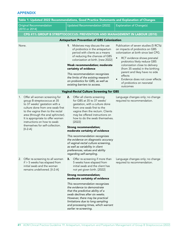# APPENDIX

| Table 1: Updated 2022 Recommendations, Good Practice Statements and Explanation of Changes                                                                                                                                                                                                                                            |                                                                                                                                                                                                                                                                                                                                                                                                                                                                                                                                         |                                                                                                                                                                                                                                                                                                                                                                                            |  |
|---------------------------------------------------------------------------------------------------------------------------------------------------------------------------------------------------------------------------------------------------------------------------------------------------------------------------------------|-----------------------------------------------------------------------------------------------------------------------------------------------------------------------------------------------------------------------------------------------------------------------------------------------------------------------------------------------------------------------------------------------------------------------------------------------------------------------------------------------------------------------------------------|--------------------------------------------------------------------------------------------------------------------------------------------------------------------------------------------------------------------------------------------------------------------------------------------------------------------------------------------------------------------------------------------|--|
| <b>Original Recommendation</b><br>[2010 or 2014]                                                                                                                                                                                                                                                                                      | <b>Updated Recommendation [2022]</b>                                                                                                                                                                                                                                                                                                                                                                                                                                                                                                    | <b>Explanation of Change(s)</b>                                                                                                                                                                                                                                                                                                                                                            |  |
|                                                                                                                                                                                                                                                                                                                                       | CPG #11: GROUP B STREPTOCOCCUS: PREVENTION AND MANAGEMENT IN LABOUR (2010)                                                                                                                                                                                                                                                                                                                                                                                                                                                              |                                                                                                                                                                                                                                                                                                                                                                                            |  |
|                                                                                                                                                                                                                                                                                                                                       | <b>Antepartum Prevention of GBS Colonization</b>                                                                                                                                                                                                                                                                                                                                                                                                                                                                                        |                                                                                                                                                                                                                                                                                                                                                                                            |  |
| None.                                                                                                                                                                                                                                                                                                                                 | 1. Midwives may discuss the use<br>of probiotics in the antepartum<br>period with clients as a means<br>of reducing the chances of GBS<br>colonization at birth. [new 2022]<br>Weak recommendation; moderate<br>certainty of evidence<br>This recommendation recognizes<br>the limits of the existing research<br>on probiotics for GBS, as well as<br>existing barriers to access.                                                                                                                                                     | Publication of seven studies (5 RCTs)<br>on impacts of probiotics on GBS<br>colonization at birth since last CPG.<br>RCT evidence shows prenatal<br>$\bullet$<br>probiotics likely reduce GBS<br>colonization close to delivery<br>(from 35 weeks) in the birthing<br>parent and likey have no side<br>effects<br>Evidence does not cover effects<br>of probiotics on neonatal<br>outcomes |  |
|                                                                                                                                                                                                                                                                                                                                       | <b>Vaginal-Rectal Culture Screening for GBS</b>                                                                                                                                                                                                                                                                                                                                                                                                                                                                                         |                                                                                                                                                                                                                                                                                                                                                                                            |  |
| Offer all women screening for<br>1.<br>group B streptococcus at 35<br>to 37 weeks' gestation with a<br>culture done from one swab first<br>to the vagina then to the rectal<br>area (through the anal sphincter).<br>It is appropriate to offer women<br>instructions on how to swab<br>themselves for self-collection.<br>$[II-2-A]$ | Offer all clients screening<br>2.<br>for GBS at 35 to 37 weeks'<br>gestation, with a culture done<br>from one swab first to the<br>vagina then the rectum. Clients<br>may be offered instructions on<br>how to do the swab themselves.<br>[2022]<br><b>Strong recommendation;</b><br>moderate certainty of evidence<br>This recommendation recognizes<br>the evidence on diagnostic accuracy<br>of vaginal-rectal culture screening,<br>as well as variability in client<br>preferences, values and ability<br>regarding self-sampling. | Language changes only; no change<br>required to recommendation.                                                                                                                                                                                                                                                                                                                            |  |
| 2.<br>Offer re-screening to all women<br>$if > 5$ weeks has elapsed from<br>initial swab and the woman<br>remains undelivered. [II-2-A]                                                                                                                                                                                               | Offer re-screening if more than<br>З.<br>5 weeks have elapsed from<br>initial swab and the client has<br>not yet given birth. [2022]<br><b>Strong recommendation;</b><br>moderate certainty of evidence<br>This recommendation recognizes<br>the evidence to demonstrate<br>that the predictive ability of a<br>swab declines after six weeks.<br>However, there may be practical<br>limitations due to long sampling<br>and processing times, which warrant<br>earlier re-screening.                                                   | Language changes only; no change<br>required to recommendation.                                                                                                                                                                                                                                                                                                                            |  |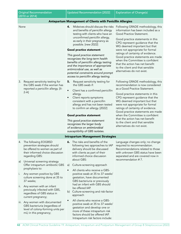| <b>Original Recommendation</b><br>[2010 or 2014] |                                                                                                                                                 |                              | <b>Updated Recommendation [2022]</b>                                                                                                                                                                                                                                                                                                                                                                                                                                                                   | <b>Explanation of Change(s)</b>                                                                                                                                                                                                                                                                                                                                                                                                                                   |  |
|--------------------------------------------------|-------------------------------------------------------------------------------------------------------------------------------------------------|------------------------------|--------------------------------------------------------------------------------------------------------------------------------------------------------------------------------------------------------------------------------------------------------------------------------------------------------------------------------------------------------------------------------------------------------------------------------------------------------------------------------------------------------|-------------------------------------------------------------------------------------------------------------------------------------------------------------------------------------------------------------------------------------------------------------------------------------------------------------------------------------------------------------------------------------------------------------------------------------------------------------------|--|
|                                                  | Antepartum Management of Clients with Penicillin Allergies                                                                                      |                              |                                                                                                                                                                                                                                                                                                                                                                                                                                                                                                        |                                                                                                                                                                                                                                                                                                                                                                                                                                                                   |  |
| None                                             |                                                                                                                                                 | 4.                           | Midwives should discuss the risks<br>and benefits of penicillin allergy<br>testing with clients who have an<br>unconfirmed penicillin allergy,<br>as early in their pregnancy as<br>possible. [new 2022]<br>Good practice statement<br>This good practice statement<br>recognizes the long-term health<br>benefits of penicillin allergy testing<br>and the importance of appropriate<br>antimicrobial use, as well as<br>potential constraints around prompt<br>access to penicillin allergy testing. | Following GRADE methodology, this<br>information has been included as a<br>Good Practice Statement.<br>Good practice statements in this<br>CPG represent guidance that the<br>WG deemed important but that<br>were not appropriate for formal<br>ratings of certainty of evidence.<br>Good practice statements are made<br>when the Committee is confident<br>that the action has net benefit<br>to the client and that sensible<br>alternatives do not exist.    |  |
| 3.                                               | Request sensitivity testing for<br>the GBS swab if the woman has<br>reported a penicillin allergy. [II-<br>$2-A$ ]                              | 5.<br>$\bullet$<br>$\bullet$ | Request sensitivity testing for<br>the GBS swab if:<br>Client has a confirmed penicillin<br>allergy.<br>Client reports symptoms<br>consistent with a penicillin<br>allergy and has not been tested<br>to confirm an allergy. [2022]<br>Good practice statement<br>This good practice statement<br>recognizes the larger body<br>of evidence on antimicrobial<br>susceptibility of GBS isolates.                                                                                                        | Following GRADE methodology, this<br>recommendation is now considered<br>as a Good Practice Statement.<br>Good practice statements in this<br>CPG represent guidance that the<br>WG deemed important but that<br>were not appropriate for formal<br>ratings of certainty of evidence.<br>Good practice statements are made<br>when the Committee is confident<br>that the action has net benefit<br>to the client and that sensible<br>alternatives do not exist. |  |
| <b>Intrapartum Management Strategies</b>         |                                                                                                                                                 |                              |                                                                                                                                                                                                                                                                                                                                                                                                                                                                                                        |                                                                                                                                                                                                                                                                                                                                                                                                                                                                   |  |
|                                                  | 4. The following EOGBSD<br>prevention strategies should<br>be offered to women as part of<br>their informed choice discussion<br>regarding GBS: |                              | <b>6.</b> The risks and benefits of the<br>following two approaches to IAP<br>delivery should be discussed<br>with clients as part of their<br>informed choice discussion<br>about GBS:                                                                                                                                                                                                                                                                                                                | Language changes only; no change<br>required to recommendation.<br>Recommendations related to those<br>with unknown GBS status have been<br>separated and are covered now in<br>recommendation #7.                                                                                                                                                                                                                                                                |  |
| a)                                               | Universal screening strategy<br>Offer intrapartum antibiotic GBS<br>prophylaxis to:                                                             | a)                           | Culture-screening approach                                                                                                                                                                                                                                                                                                                                                                                                                                                                             |                                                                                                                                                                                                                                                                                                                                                                                                                                                                   |  |
| i.                                               | Any women positive by GBS<br>culture screening done at 35 to<br>37 weeks;                                                                       | $\bullet$                    | All clients who receive a GBS-<br>positive swab at 35 to 37 weeks'<br>gestation, have documented<br>GBS bacteriuria or previously                                                                                                                                                                                                                                                                                                                                                                      |                                                                                                                                                                                                                                                                                                                                                                                                                                                                   |  |
| ii.                                              | Any women with an infant<br>previously infected with GBS,<br>regardless of GBS status in<br>current pregnancy;                                  | b)                           | had an infant with GBS should<br>be offered IAP.<br>Culture-screening and risk-factor<br>approach                                                                                                                                                                                                                                                                                                                                                                                                      |                                                                                                                                                                                                                                                                                                                                                                                                                                                                   |  |
|                                                  | iii. Any women with documented<br>GBS bacteriuria (regardless of<br>level of colony-forming units per<br>mL) in this pregnancy;                 | $\bullet$                    | All clients who receive a GBS-<br>positive swab at 35 to 37 weeks'<br>gestation and develop one or<br>more of these intrapartum risk<br>factors should be offered IAP.<br>Intrapartum risk factors include:                                                                                                                                                                                                                                                                                            |                                                                                                                                                                                                                                                                                                                                                                                                                                                                   |  |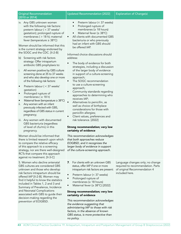| <b>Original Recommendation</b><br>[2010 or 2014]                                                                                                                                                                                                                                                                                                                                                                                                                                                                                                                                                                                                                                                                                                                                                                                                                                                                                                                                                                                                                                                                                                                                                                                                                  | <b>Updated Recommendation [2022]</b>                                                                                                                                                                                                                                                                                                                                                                                                                                                                                                                                                                                                                                                                                                                                                                                                                                                                                                                                                                                                                                                                                                 | <b>Explanation of Change(s)</b>                                                                                         |
|-------------------------------------------------------------------------------------------------------------------------------------------------------------------------------------------------------------------------------------------------------------------------------------------------------------------------------------------------------------------------------------------------------------------------------------------------------------------------------------------------------------------------------------------------------------------------------------------------------------------------------------------------------------------------------------------------------------------------------------------------------------------------------------------------------------------------------------------------------------------------------------------------------------------------------------------------------------------------------------------------------------------------------------------------------------------------------------------------------------------------------------------------------------------------------------------------------------------------------------------------------------------|--------------------------------------------------------------------------------------------------------------------------------------------------------------------------------------------------------------------------------------------------------------------------------------------------------------------------------------------------------------------------------------------------------------------------------------------------------------------------------------------------------------------------------------------------------------------------------------------------------------------------------------------------------------------------------------------------------------------------------------------------------------------------------------------------------------------------------------------------------------------------------------------------------------------------------------------------------------------------------------------------------------------------------------------------------------------------------------------------------------------------------------|-------------------------------------------------------------------------------------------------------------------------|
| iv. Any GBS unknown women<br>with the following risk factors:<br>preterm labour ( < 37 weeks'<br>gestation); prolonged rupture of<br>membranes ( $>$ 18 h); maternal<br>fever (temperature $\geq 38^{\circ}C$ )<br>Women should be informed that this<br>is the current strategy endorsed by<br>the SOGC and the CDC. [II-2-B]<br>Screening with risk factors<br>b)<br>strategy: Offer intrapartum<br>antibiotic GBS prophylaxis to:<br>All women positive by GBS culture<br>i.<br>screening done at 35 to 37 weeks<br>and who also develop one or more<br>of the following risk factors:<br>Preterm labour ( < 37 weeks'<br>$\bullet$<br>gestation)<br>Prolonged rupture of<br>membranes ( $\geq$ 18 h)<br>Maternal fever (temperature $\geq 38^{\circ}$ C)<br>Any women with an infant<br>ΙΙ.<br>previously infected with GBS,<br>regardless of GBS status in current<br>pregnancy;<br>iii. Any women with documented<br>GBS bacteriuria (regardless<br>of level of cfu/mL) in this<br>pregnancy.<br>Women should be informed that<br>there is limited research upon which<br>to compare the relative efficacy<br>of this approach to a screening<br>strategy, nor are there well-designed<br>RCTs that compare this approach<br>against no treatment. [II-3-C] | Preterm labour (< 37 weeks)<br>Prolonged rupture of<br>$\bullet$<br>membranes ( $\geq$ 18 hours)<br>Maternal fever ( $\geq 38^{\circ}$ C)<br>$\bullet$<br>All clients with documented GBS<br>٠<br>bacteriuria or who previously<br>had an infant with GBS should<br>be offered IAP.<br>Informed choice discussions should<br>address:<br>The body of evidence for both<br>strategies, including a discussion<br>of the larger body of evidence<br>in support of a culture-screening<br>approach;<br>The SOGC recommendation<br>$\bullet$<br>to use a culture-screening<br>approach;<br>Community standards regarding<br>$\bullet$<br>approaches to determining who<br>receives IAP;<br>Alternatives to penicillin, as<br>well as choice of birthplace<br>considerations for those with<br>penicillin allergies;<br>Client values, preferences and<br>$\bullet$<br>risk tolerance. [2022]<br>Strong recommendation; very low<br>certainty of evidence<br>This recommendation acknowledges<br>that both approaches reduce<br>EOGBSD, and it recognizes the<br>larger body of evidence in support<br>of the culture-screening approach. |                                                                                                                         |
| 5. Women who decline antenatal<br>GBS cultures are considered GBS<br>unknown and those who develop<br>risk factors intrapartum should be<br>offered IAP [II-2-B]. Women may<br>find it helpful to know the statistics<br>included in Tables 1, 2 and 3 and<br>Summary of Prevalence, Incidence<br>and Neonatal Complications<br>associated with GBS to guide their<br>decision-making regarding the<br>prevention of EOGBSD.                                                                                                                                                                                                                                                                                                                                                                                                                                                                                                                                                                                                                                                                                                                                                                                                                                      | For clients with an unknown GBS<br>7.<br>status, offer IAP if one or more<br>intrapartum risk factors are present:<br>Preterm labour (< 37 weeks)<br>Prolonged rupture of<br>$\bullet$<br>membranes ( $\geq$ 18 hours)<br>Maternal fever ( $\geq 38^{\circ}$ C) [2022]<br>$\bullet$<br>Strong recommendation; very low<br>certainty of evidence<br>This recommendation acknowledges<br>the evidence suggesting that<br>administering IAP to those with risk<br>factors, in the absence of known<br>GBS status, is more protective than<br>no policy.                                                                                                                                                                                                                                                                                                                                                                                                                                                                                                                                                                                 | Language changes only; no change<br>required to recommendation. Parts<br>of original Recommendation 4<br>included here. |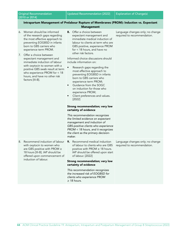### Intrapartum Management of Prelabour Rupture of Membranes (PROM): Induction vs. Expectant Management

- 6. Women should be informed of the research gaps regarding the most effective approach to preventing EOGBSD in infants born to GBS carriers who experience term PROM.
- 7. Offer a choice between expectant management and immediate induction of labour with oxytocin to women with a positive GBS swab result at term who experience PROM for < 18 hours, and have no other risk factors [III-B].
- 8. Offer a choice between expectant management and immediate medical induction of labour to clients at term who are GBS positive, experience PROM for < 18 hours, and have no other risk factors.

Informed choice discussions should include information on:

- Research gaps regarding the most effective approach to preventing EOGBSD in infants born to GBS carriers who experience term PROM;
- Guidance from the SOGC on induction for those who experience PROM;
- Client preferences and values. [2022]

### Strong recommendation; very low certainty of evidence

*This recommendation recognizes the limited evidence on expectant management and induction of GBS-positive clients who experience PROM < 18 hours, and it recognizes the client as the primary decisionmaker.* 

- 8. Recommend induction of labour with oxytocin to women who are GBS positive with PROM ≥ 18 hours [III-B]. IAP should be offered upon commencement of induction of labour.
- 9. Recommend medical induction of labour to clients who are GBS positive with PROM ≥ 18 hours. IAP should be offered upon start of labour. [2022]

### Strong recommendation; very low certainty of evidence

*This recommendation recognizes the increased risk of EOGBSD for clients who experience PROM*  ≥ *18 hours.*

Language changes only; no change required to recommendation.

Language changes only; no change required to recommendation.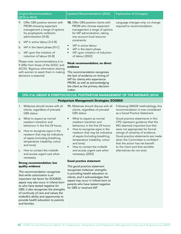| <b>Original Recommendation</b><br>[2010 or 2014]                                                                                                                                 |                                                                                                                                                     | Updated Recommendation [2022]                                                                                                                                                             | <b>Explanation of Change(s)</b>                                 |
|----------------------------------------------------------------------------------------------------------------------------------------------------------------------------------|-----------------------------------------------------------------------------------------------------------------------------------------------------|-------------------------------------------------------------------------------------------------------------------------------------------------------------------------------------------|-----------------------------------------------------------------|
| 9.                                                                                                                                                                               | Offer GBS positive women with<br>PROM choosing expectant<br>management a range of options<br>for prophylactic antibiotic<br>administration [III-B]: | <b>10.</b> Offer GBS-positive clients with<br>PROM who choose expectant<br>management a range of options<br>for IAP administration, taking<br>into account local resource<br>constraints: | Language changes only; no change<br>required to recommendation. |
|                                                                                                                                                                                  | a. IAP in active labour [II-2-B]                                                                                                                    |                                                                                                                                                                                           |                                                                 |
|                                                                                                                                                                                  | b. IAP in the latent phase [III-C]                                                                                                                  | IAP in active labour<br>٠<br>IAP in the latent phase<br>$\bullet$                                                                                                                         |                                                                 |
| C.                                                                                                                                                                               | IAP upon the initiation of<br>induction of labour [III-B]                                                                                           | IAP upon initiation of induction<br>$\bullet$<br>of labour [2022]                                                                                                                         |                                                                 |
| Please note: recommendations 6 to<br>9 differ from those of the SOGC and<br>ACOG. Rigorous information sharing<br>with women to assist them in making<br>decisions is essential. |                                                                                                                                                     | Weak recommendation; no direct<br>evidence                                                                                                                                                |                                                                 |
|                                                                                                                                                                                  |                                                                                                                                                     | This recommendation recognizes<br>the lack of evidence on timing of<br>IAP for clients who experience                                                                                     |                                                                 |

## CPG #16: GROUP B STREPTOCOCCUS: POSTPARTUM MANAGEMENT OF THE NEONATE (2014)

*PROM, as well as acknowledging the client as the primary decision-*

*maker.*

## Postpartum Management Strategies: EOGBSD

- 1. Midwives should review with all clients, regardless of prenatal GBS status:
- a. What to expect as normal newborn transition and behaviour in the first 24 hours;
- b. How to recognize signs in the newborn that may be indicative of sepsis (including breathing, temperature instability, colour and tone);
- c. How to contact the midwife and access urgent care when necessary.

### Strong recommendation; low quality evidence

*This recommendation recognizes that while colonization is an important risk factor for EOGBSD, sepsis may also occur in infants born to who have tested negative for GBS; it also recognizes the strengths of continuity of care and values the midwife's ability and opportunity to provide health education to parents and families.*

- 11. Midwives should discuss with all clients, regardless of prenatal GBS status:
- What to expect as normal newborn transition and behaviour in the first 24 hours;
- How to recognize signs in the newborn that may be indicative of sepsis (including breathing, temperature instability, colour and tone);
- How to contact the midwife and access urgent care when necessary. [2022]

### Good practice statement

*This good practice statement recognizes midwives' strengths in providing health education to clients, and it acknowledges that sepsis may occur in infants born to parents who have tested negative for GBS or received IAP.* 

Following GRADE methodology, this recommendation is now considered as a Good Practice Statement.

Good practice statements in this CPG represent guidance that the WG deemed important but that were not appropriate for formal ratings of certainty of evidence. Good practice statements are made when the Committee is confident that the action has net benefit to the client and that sensible alternatives do not exist.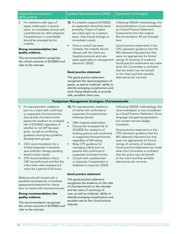### Original Recommendation [2010 or 2014]

2. For newborns with signs of sepsis noted upon in-person exam: an immediate consult with a pediatrician (or other physician if paediatrician is unavailable) should be arranged by the midwife.

### Strong recommendation; low quality evidence.

*This recommendation recognizes the critical outcome of EOGBSD and risks to the neonate.*

# Updated Recommendation [2022] | Explanation of Change(s)

- 12. If a midwife suspects EOGBSD, an assessment should be done promptly. If signs of sepsis are noted upon an in-person exam, they should arrange an immediate consult.
- Once a consult has been initiated, the midwife should discuss with the client any hospital protocols and care plans applicable to management decisions. [2022]

### Good practice statement

*This good practice statement recognizes the rapid progression of sepsis, as well as midwives' ability to identify emerging complications and work interprofessionally to provide safe, excellent client care.*

Following GRADE methodology, this recommendation is now considered as a Good Practice Statement. Components from the original Recommendation #5 are included here.

Good practice statements in this CPG represent guidance that the WG deemed important but that were not appropriate for formal ratings of certainty of evidence. Good practice statements are made when the Committee is confident that the action has net benefit to the client and that sensible alternatives do not exist.

### Postpartum Management Strategies: Chorioamnionitis

- 3. For asymptomatic newborns born to a client with confirmed or suspected chorioamnionitis: discuss that chorioamnionitis places the newborn at increased risk of EOGBSD regardless of whether or not IAP has been given, as well as conflicting guidance among key guideline development groups:
- CDC recommendation for a limited diagnostic evaluation and antibiotic therapy pending blood culture results.
- CPS recommendation that a CBC be performed and that the infant have vitals assessed q 4 hours for a period of 24 hours.

Midwives should consult with a paediatrician/physician to facilitate assessment/treatment for infants born to clients with chorioamnionitis.

### Strong recommendation; low quality evidence.

*This recommendation recognizes the critical outcome of EOGBSD and risks to the neonate.*

- 13. For asymptomatic newborns of clients with confirmed or suspected chorioamnionitis, midwives should:
- Offer hospital observation;
- Discuss the increased risk of EOGBSD for newborns of birthing parents with confirmed or suspected chorioamnionitis, regardless of IAP status;
- Relay CPS guidance for managing infants born to parents with confirmed or suspected chorioamnionitis;
- Consult with a pediatrician or physician if assessment or treatment is required. [2022]

### Good practice statement

*This good practice statement recognizes the evidence on the risks of chorioamnionitis to the neonate and the value of continuity of care, as well as midwives' ability to identify emerging complications and escalate care as the clinical picture requires.*

Following GRADE methodology, this recommendation is now considered as a Good Practice Statement. Some language changes/reorganization but content remains largely consistent.

Good practice statements in this CPG represent guidance that the WG deemed important but that were not appropriate for formal ratings of certainty of evidence. Good practice statements are made when the Committee is confident that the action has net benefit to the client and that sensible alternatives do not exist.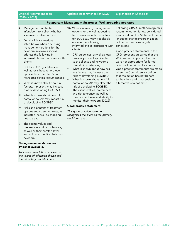### Original Recommendation [2010 or 2014]

### Postpartum Management Strategies: Well-appearing neonates

- 4. Management of the term infant born to a client who has screened positive for GBS:
- a. For all clinical situations listed below, when discussing management options for the newborn, midwives should address the following in informed choice discussions with clients:
- i. CDC and CPS guidelines as well as local hospital protocol applicable to the client's and newborn's clinical circumstances;
- ii. What is known about how risk factors, if present, may increase risks of developing EOGBSD;
- iii. What is known about how full, partial or no IAP may impact risk of developing EOGBSD;
- iv. Risks and benefits of treatment options and screening tests, as indicated, as well as choosing not to treat;
- v. The client's values and preferences and risk tolerance, as well as their comfort level and ability to monitor their own newborn.

### Strong recommendation; no evidence available.

*This recommendation is based on the values of informed choice and the midwifery model of care.*

- 14. When discussing management options for the well-appearing term newborn with risk factors for EOGBSD, midwives should address the following in informed choice discussions with clients:
- CPS guidelines, as well as local hospital protocol applicable to the client's and newborn's clinical circumstances;
- What is known about how risk any factors may increase the risks of developing EOGBSD;
- What is known about how full, partial or no IAP may affect the risk of developing EOGBSD;
- The client's values, preferences and risk tolerance, as well as their comfort level and ability to monitor their newborn. [2022]

### Good practice statement

*This good practice statement recognizes the client as the primary decision-maker.*

Following GRADE methodology, this recommendation is now considered as a Good Practice Statement. Some language changes/reorganization but content remains largely consistent.

Good practice statements in this CPG represent guidance that the WG deemed important but that were not appropriate for formal ratings of certainty of evidence. Good practice statements are made when the Committee is confident that the action has net benefit to the client and that sensible alternatives do not exist.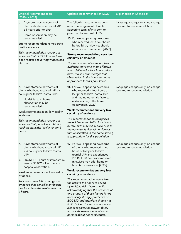| <b>Original Recommendation</b><br>[2010 or 2014]                                                                                | <b>Updated Recommendation [2022]</b>                                                                                                                                                                                                                                                                                                                                                                       | <b>Explanation of Change(s)</b>                                 |
|---------------------------------------------------------------------------------------------------------------------------------|------------------------------------------------------------------------------------------------------------------------------------------------------------------------------------------------------------------------------------------------------------------------------------------------------------------------------------------------------------------------------------------------------------|-----------------------------------------------------------------|
| b. Asymptomatic newborns of<br>clients who have received IAP<br>$\geq$ 4 hours prior to birth:<br>i.<br>Home observation may be | The following recommendations<br>refer to management of well-<br>appearing term infants born to<br>parents colonized with GBS:                                                                                                                                                                                                                                                                             | Language changes only; no change<br>required to recommendation. |
| recommended.<br>Strong recommendation; moderate<br>quality evidence                                                             | 15. For well-appearing newborns<br>who received $IAP \geq$ four hours<br>before birth, midwives should<br>offer home observation. [2022]                                                                                                                                                                                                                                                                   |                                                                 |
| This recommendation recognizes<br>evidence that EOGBSD rates have<br>been reduced following widespread                          | Strong recommendation; very low<br>certainty of evidence                                                                                                                                                                                                                                                                                                                                                   |                                                                 |
| IAP use.                                                                                                                        | This recommendation recognizes the<br>evidence that IAP is most effective<br>when delivered $\geq$ four hours before<br>birth. It also acknowledges that<br>observation in the home setting is<br>appropriate for this population.                                                                                                                                                                         |                                                                 |
| c. Asymptomatic newborns of<br>clients who have received IAP < 4<br>hours prior to birth (partial IAP):                         | <b>16.</b> For well-appearing newborns<br>who received < four hours of<br>IAP prior to birth (partial IAP)<br>and had no other risk factors,                                                                                                                                                                                                                                                               | Language changes only; no change<br>required to recommendation. |
| No risk factors: home<br>i.<br>observation may be<br>recommended.                                                               | midwives may offer home<br>observation. [2022]                                                                                                                                                                                                                                                                                                                                                             |                                                                 |
| Weak recommendation; low quality<br>evidence                                                                                    | Weak recommendation; very low<br>certainty of evidence                                                                                                                                                                                                                                                                                                                                                     |                                                                 |
| This recommendation recognizes<br>evidence that penicillin antibiotics<br>reach bactericidal level in under 4<br>hours.         | This recommendation recognizes<br>the evidence that $IAP <$ four hours<br>before birth may still reduce risks to<br>the neonate. It also acknowledges<br>that observation in the home setting<br>is appropriate for this population.                                                                                                                                                                       |                                                                 |
| Asymptomatic newborns of<br>C.<br>clients who have received IAP<br>< 4 hours prior to birth (partial<br>$IAP$ :                 | 17. For well-appearing newborns<br>of clients who received < four<br>hours of IAP prior to birth<br>(partial IAP) and experienced                                                                                                                                                                                                                                                                          | Language changes only; no change<br>required to recommendation. |
| $PROM \geq 18$ hours or intrapartum<br>ii.<br>fever $\geq 38.0^{\circ}$ C: offer home or<br>hospital observation.               | PROM $\geq$ 18 hours and/or fever,<br>midwives may offer home or<br>hospital observation. [2022]                                                                                                                                                                                                                                                                                                           |                                                                 |
| Weak recommendation; low quality<br>evidence.                                                                                   | Weak recommendation; very low<br>certainty of evidence                                                                                                                                                                                                                                                                                                                                                     |                                                                 |
| This recommendation recognizes<br>evidence that penicillin antibiotics<br>reach bactericidal level in less than<br>4 hours.     | This recommendation recognizes<br>the risks to the neonate posed<br>by multiple risks factors, while<br>acknowledging that the presence of<br>one or more of these factors is not<br>necessarily strongly predictive of<br>EOGBSD and therefore should not<br>limit choice. This recommendation<br>also recognizes midwives' ability<br>to provide relevant education to<br>parents about neonatal sepsis. |                                                                 |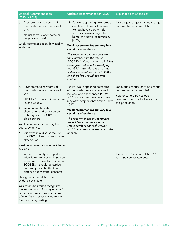| <b>Original Recommendation</b><br>[2010 or 2014]                                                                                                                                                                                                                                                                                                                                                                                                    | <b>Updated Recommendation [2022]</b>                                                                                                                                                                                                                                                                                                                                                                                                                                                                              | <b>Explanation of Change(s)</b>                                                                                                                        |
|-----------------------------------------------------------------------------------------------------------------------------------------------------------------------------------------------------------------------------------------------------------------------------------------------------------------------------------------------------------------------------------------------------------------------------------------------------|-------------------------------------------------------------------------------------------------------------------------------------------------------------------------------------------------------------------------------------------------------------------------------------------------------------------------------------------------------------------------------------------------------------------------------------------------------------------------------------------------------------------|--------------------------------------------------------------------------------------------------------------------------------------------------------|
| d. Asymptomatic newborns of<br>clients who have not received<br>IAP:<br>No risk factors: offer home or<br>i.<br>hospital observation.<br>Weak recommendation; low quality<br>evidence                                                                                                                                                                                                                                                               | <b>18.</b> For well-appearing newborns of<br>clients who have not received<br>IAP but have no other risk<br>factors, midwives may offer<br>home or hospital observation.<br>[2022]<br>Weak recommendation; very low<br>certainty of evidence<br>This recommendation recognizes<br>the evidence that the risk of<br>EOGBSD is highest when no IAP has<br>been given, while acknowledging<br>that GBS status alone is associated<br>with a low absolute risk of EOGBSD<br>and therefore should not limit<br>choice. | Language changes only; no change<br>required to recommendation.                                                                                        |
| d. Asymptomatic newborns of<br>clients who have not received<br>IAP:<br>$PROM \geq 18$ hours or intrapartum<br>ii.<br>fever $\geq 38.0^{\circ}$ C:<br>Recommend hospital<br>observation and consultation<br>with physician for CBC and<br>blood culture.<br>Weak recommendation; very low<br>quality evidence.<br>Midwives may discuss the use<br>of a CBC if client chooses home<br>observation.<br>Weak recommendation; no evidence<br>available. | 19. For well-appearing newborns<br>of clients who have not received<br>IAP and who experienced PROM<br>$\geq$ 18 hours and/or fever, midwives<br>may offer hospital observation. [new<br>2022]<br>Weak recommendation; very low<br>certainty of evidence<br>This recommendation recognizes<br>the evidence that receiving no<br>IAP, in combination with PROM<br>$\geq$ 18 hours, may increase risks to the<br>neonate.                                                                                           | Language changes only; no change<br>required to recommendation.<br>Reference to CBC has been<br>removed due to lack of evidence in<br>this population. |
| 5. In the community setting, if a<br>midwife determines an in-person<br>assessment is needed to rule out<br>EOGBSD, it should be carried<br>out promptly with attention to<br>distance and weather concerns.<br>Strong recommendation; no<br>evidence available.<br>This recommendation recognizes<br>the importance of identifying sepsis<br>in the newborn and values the skill<br>of midwives to assess newborns in<br>the community setting.    |                                                                                                                                                                                                                                                                                                                                                                                                                                                                                                                   | Please see Recommendation #12<br>re: in-person assessments.                                                                                            |